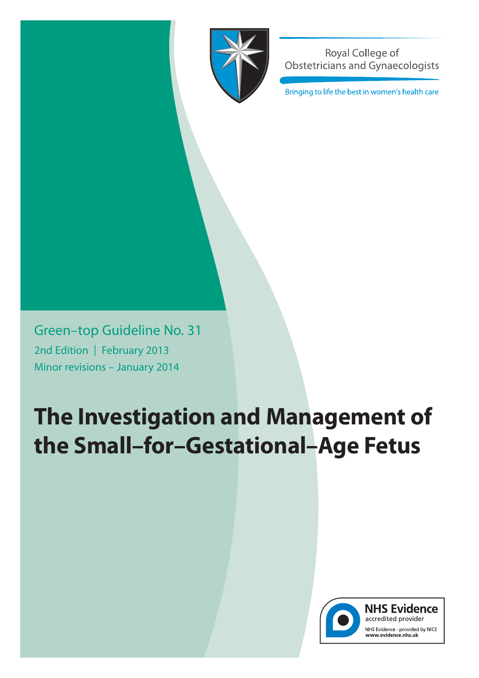

Royal College of **Obstetricians and Gynaecologists** 

Bringing to life the best in women's health care

Green–top Guideline No. 31 2nd Edition | February 2013 Minor revisions – January 2014

# **The Investigation and Management of the Small–for–Gestational–Age Fetus**



**NHS Evidence** accredited provider NHS Evidence - provided by NICE<br>www.evidence.nhs.uk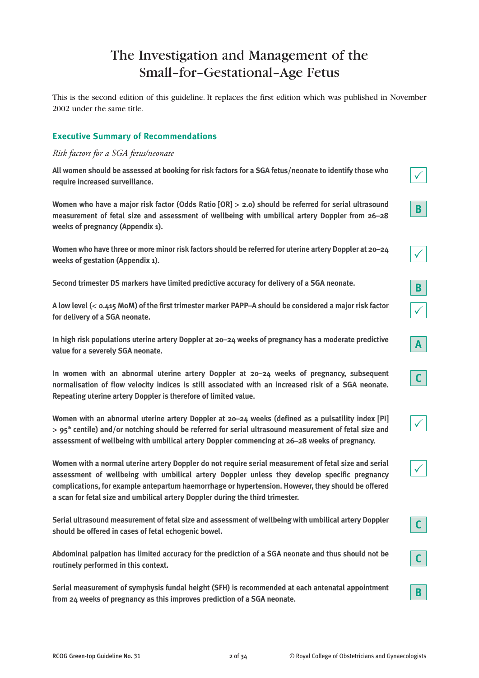# The Investigation and Management of the Small–for–Gestational–Age Fetus

This is the second edition of this guideline. It replaces the first edition which was published in November 2002 under the same title.

# **Executive Summary of Recommendations**

#### *Risk factors for a SGA fetus/neonate*

**All women should be assessed at booking for risk factors for a SGA fetus/neonate to identify those who require increased surveillance.**

**Women who have a major risk factor (Odds Ratio [OR]** > **2.0) should be referred for serial ultrasound measurement of fetal size and assessment of wellbeing with umbilical artery Doppler from 26–28 weeks of pregnancy (Appendix 1).**

**Women who have three or more minor risk factors should be referred for uterine artery Doppler at 20–24 weeks of gestation (Appendix 1).**

**Second trimester DS markers have limited predictive accuracy for delivery of a SGA neonate.**

**A low level (**< **0.415 MoM) of the first trimester marker PAPP–A should be considered a major risk factor for delivery of a SGA neonate.**

**In high risk populations uterine artery Doppler at 20–24 weeks of pregnancy has a moderate predictive value for a severely SGA neonate.**

**In women with an abnormal uterine artery Doppler at 20–24 weeks of pregnancy, subsequent normalisation of flow velocity indices is still associated with an increased risk of a SGA neonate. Repeating uterine artery Doppler is therefore of limited value.**

Women with an abnormal uterine artery Doppler at 20-24 weeks (defined as a pulsatility index [PI] > **95th centile) and/or notching should be referred for serial ultrasound measurement of fetal size and assessment of wellbeing with umbilical artery Doppler commencing at 26–28 weeks of pregnancy.** 

**Women with a normal uterine artery Doppler do not require serial measurement of fetal size and serial assessment of wellbeing with umbilical artery Doppler unless they develop specific pregnancy complications, for example antepartum haemorrhage or hypertension. However, they should be offered a scan for fetal size and umbilical artery Doppler during the third trimester.**

**Serial ultrasound measurement of fetal size and assessment of wellbeing with umbilical artery Doppler should be offered in cases of fetal echogenic bowel.**

**Abdominal palpation has limited accuracy for the prediction of a SGA neonate and thus should not be routinely performed in this context.**

**Serial measurement of symphysis fundal height (SFH) is recommended at each antenatal appointment from 24 weeks of pregnancy as this improves prediction of a SGA neonate.**

**B**

 $\checkmark$ 

 $\sqrt{ }$ 

**A**

**C**

**B**

 $\checkmark$ 

 $\checkmark$ 

**C**

**C**

**B**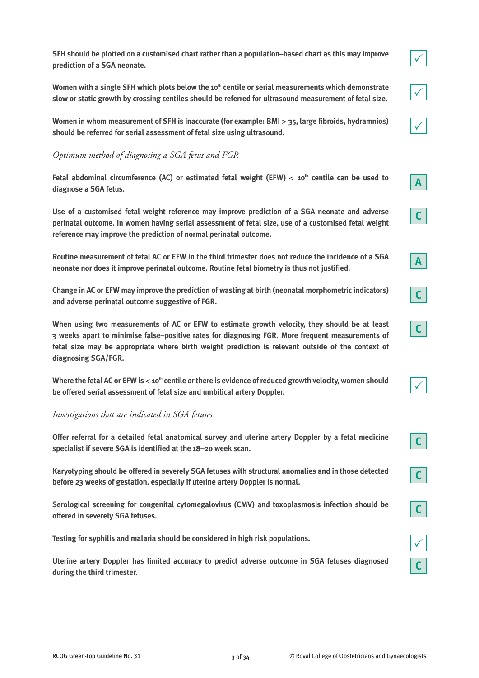**SFH should be plotted on a customised chart rather than a population–based chart as this may improve prediction of a SGA neonate.**

Women with a single SFH which plots below the 10<sup>th</sup> centile or serial measurements which demonstrate **slow or static growth by crossing centiles should be referred for ultrasound measurement of fetal size.**

**Women in whom measurement of SFH is inaccurate (for example: BMI** > **35, large fibroids, hydramnios) should be referred for serial assessment of fetal size using ultrasound.**

# *Optimum method of diagnosing a SGA fetus and FGR*

Fetal abdominal circumference (AC) or estimated fetal weight (EFW) < 10<sup>th</sup> centile can be used to **diagnose a SGA fetus.**

**Use of a customised fetal weight reference may improve prediction of a SGA neonate and adverse perinatal outcome. In women having serial assessment of fetal size, use of a customised fetal weight reference may improve the prediction of normal perinatal outcome.**

**Routine measurement of fetal AC or EFW in the third trimester does not reduce the incidence of a SGA neonate nor does it improve perinatal outcome. Routine fetal biometry is thus not justified.**

**Change in AC or EFW may improve the prediction of wasting at birth (neonatal morphometric indicators) and adverse perinatal outcome suggestive of FGR.**

**When using two measurements of AC or EFW to estimate growth velocity, they should be at least 3 weeks apart to minimise false–positive rates for diagnosing FGR. More frequent measurements of fetal size may be appropriate where birth weight prediction is relevant outside of the context of diagnosing SGA/FGR.**

Where the fetal AC or EFW is < 10<sup>th</sup> centile or there is evidence of reduced growth velocity, women should **be offered serial assessment of fetal size and umbilical artery Doppler.**

#### *Investigations that are indicated in SGA fetuses*

**Offer referral for a detailed fetal anatomical survey and uterine artery Doppler by a fetal medicine specialist if severe SGA is identified at the 18–20 week scan.**

**Karyotyping should be offered in severely SGA fetuses with structural anomalies and in those detected before 23 weeks of gestation, especially if uterine artery Doppler is normal.**

**Serological screening for congenital cytomegalovirus (CMV) and toxoplasmosis infection should be offered in severely SGA fetuses.**

**Testing for syphilis and malaria should be considered in high risk populations.**

**Uterine artery Doppler has limited accuracy to predict adverse outcome in SGA fetuses diagnosed during the third trimester.**

**A**

**C**

**C**

 $\checkmark$ 

**C**

**C**

**C**

 $\checkmark$ 

**C**

**C**

**A**

 $\checkmark$ 

 $\checkmark$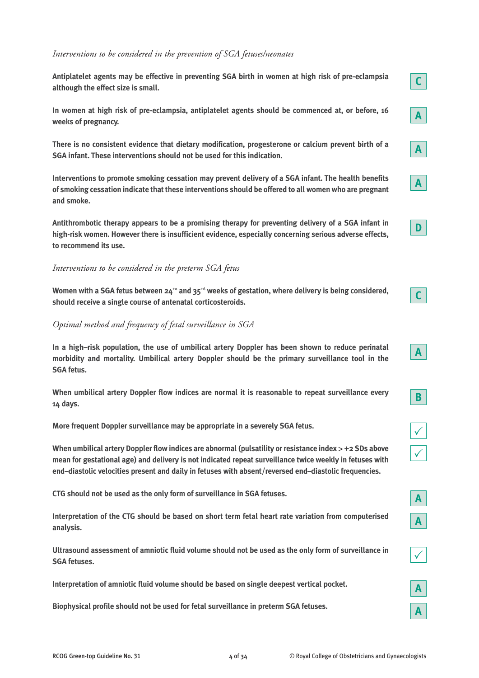#### *Interventions to be considered in the prevention of SGA fetuses/neonates*

**Antiplatelet agents may be effective in preventing SGA birth in women at high risk of pre-eclampsia although the effect size is small.**

**In women at high risk of pre-eclampsia, antiplatelet agents should be commenced at, or before, 16 weeks of pregnancy.**

**There is no consistent evidence that dietary modification, progesterone or calcium prevent birth of a SGA infant. These interventions should not be used for this indication.**

**Interventions to promote smoking cessation may prevent delivery of a SGA infant. The health benefits of smoking cessation indicate that these interventions should be offered to all women who are pregnant and smoke.**

**Antithrombotic therapy appears to be a promising therapy for preventing delivery of a SGA infant in high-risk women. However there is insufficient evidence, especially concerning serious adverse effects, to recommend its use.**

#### *Interventions to be considered in the preterm SGA fetus*

**Women with a SGA fetus between 24+0 and 35+6 weeks of gestation, where delivery is being considered, should receive a single course of antenatal corticosteroids.**

*Optimal method and frequency of fetal surveillance in SGA*

**In a high–risk population, the use of umbilical artery Doppler has been shown to reduce perinatal morbidity and mortality. Umbilical artery Doppler should be the primary surveillance tool in the SGA fetus.**

**When umbilical artery Doppler flow indices are normal it is reasonable to repeat surveillance every 14 days.**

**More frequent Doppler surveillance may be appropriate in a severely SGA fetus.**

**When umbilical artery Doppler flow indices are abnormal (pulsatility or resistance index** > **+2 SDs above mean for gestational age) and delivery is not indicated repeat surveillance twice weekly in fetuses with end–diastolic velocities present and daily in fetuses with absent/reversed end–diastolic frequencies.**

**CTG should not be used as the only form of surveillance in SGA fetuses.**

**Interpretation of the CTG should be based on short term fetal heart rate variation from computerised analysis.**

**Ultrasound assessment of amniotic fluid volume should not be used as the only form of surveillance in SGA fetuses.**

**Interpretation of amniotic fluid volume should be based on single deepest vertical pocket.**

**Biophysical profile should not be used for fetal surveillance in preterm SGA fetuses.**







|--|

| <b>STATE</b> |  |
|--------------|--|
| ٠            |  |

| <b>CONTRACTOR</b> |
|-------------------|
|-------------------|

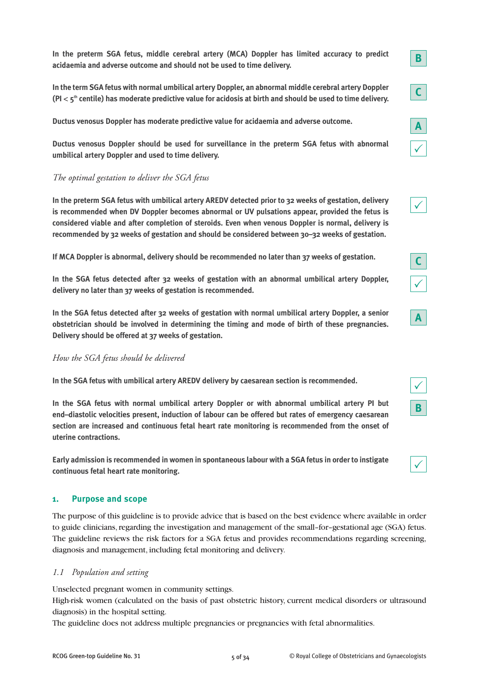**In the preterm SGA fetus, middle cerebral artery (MCA) Doppler has limited accuracy to predict acidaemia and adverse outcome and should not be used to time delivery.**

**In the term SGA fetus with normal umbilical artery Doppler, an abnormal middle cerebral artery Doppler (PI** < **5th centile) has moderate predictive value for acidosis at birth and should be used to time delivery.**

**Ductus venosus Doppler has moderate predictive value for acidaemia and adverse outcome.**

**Ductus venosus Doppler should be used for surveillance in the preterm SGA fetus with abnormal umbilical artery Doppler and used to time delivery.**

# *The optimal gestation to deliver the SGA fetus*

**In the preterm SGA fetus with umbilical artery AREDV detected prior to 32 weeks of gestation, delivery is recommended when DV Doppler becomes abnormal or UV pulsations appear, provided the fetus is considered viable and after completion of steroids. Even when venous Doppler is normal, delivery is recommended by 32 weeks of gestation and should be considered between 30–32 weeks of gestation.**

**If MCA Doppler is abnormal, delivery should be recommended no later than 37 weeks of gestation.**

**In the SGA fetus detected after 32 weeks of gestation with an abnormal umbilical artery Doppler, delivery no later than 37 weeks of gestation is recommended.**

**In the SGA fetus detected after 32 weeks of gestation with normal umbilical artery Doppler, a senior obstetrician should be involved in determining the timing and mode of birth of these pregnancies. Delivery should be offered at 37 weeks of gestation.**

*How the SGA fetus should be delivered*

**In the SGA fetus with umbilical artery AREDV delivery by caesarean section is recommended.**

**In the SGA fetus with normal umbilical artery Doppler or with abnormal umbilical artery PI but end–diastolic velocities present, induction of labour can be offered but rates of emergency caesarean section are increased and continuous fetal heart rate monitoring is recommended from the onset of uterine contractions.**

**Early admission is recommended in women in spontaneous labour with a SGA fetus in order to instigate continuous fetal heart rate monitoring.**

#### **1. Purpose and scope**

The purpose of this guideline is to provide advice that is based on the best evidence where available in order to guide clinicians, regarding the investigation and management of the small–for–gestational age (SGA) fetus. The guideline reviews the risk factors for a SGA fetus and provides recommendations regarding screening, diagnosis and management, including fetal monitoring and delivery.

#### *1.1 Population and setting*

Unselected pregnant women in community settings.

High-risk women (calculated on the basis of past obstetric history, current medical disorders or ultrasound diagnosis) in the hospital setting.

The guideline does not address multiple pregnancies or pregnancies with fetal abnormalities.

 $\checkmark$ 

 $\checkmark$ 

**C**

 $\checkmark$ 

**A**

**B**

 $\checkmark$ 

 $\checkmark$ 

**A**

**B**

**C**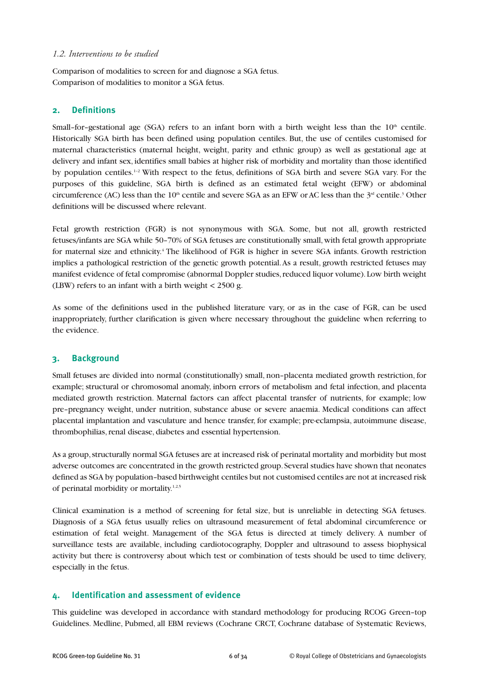#### *1.2. Interventions to be studied*

Comparison of modalities to screen for and diagnose a SGA fetus. Comparison of modalities to monitor a SGA fetus.

# **2. Definitions**

Small-for-gestational age (SGA) refers to an infant born with a birth weight less than the 10<sup>th</sup> centile. Historically SGA birth has been defined using population centiles. But, the use of centiles customised for maternal characteristics (maternal height, weight, parity and ethnic group) as well as gestational age at delivery and infant sex, identifies small babies at higher risk of morbidity and mortality than those identified by population centiles.1–2 With respect to the fetus, definitions of SGA birth and severe SGA vary. For the purposes of this guideline, SGA birth is defined as an estimated fetal weight (EFW) or abdominal circumference (AC) less than the  $10<sup>th</sup>$  centile and severe SGA as an EFW or AC less than the  $3<sup>rd</sup>$  centile.<sup>3</sup> Other definitions will be discussed where relevant.

Fetal growth restriction (FGR) is not synonymous with SGA. Some, but not all, growth restricted fetuses/infants are SGA while 50–70% of SGA fetuses are constitutionally small, with fetal growth appropriate for maternal size and ethnicity.<sup>4</sup> The likelihood of FGR is higher in severe SGA infants. Growth restriction implies a pathological restriction of the genetic growth potential. As a result, growth restricted fetuses may manifest evidence of fetal compromise (abnormal Doppler studies, reduced liquor volume). Low birth weight (LBW) refers to an infant with a birth weight < 2500 g.

As some of the definitions used in the published literature vary, or as in the case of FGR, can be used inappropriately, further clarification is given where necessary throughout the guideline when referring to the evidence.

#### **3. Background**

Small fetuses are divided into normal (constitutionally) small, non–placenta mediated growth restriction, for example; structural or chromosomal anomaly, inborn errors of metabolism and fetal infection, and placenta mediated growth restriction. Maternal factors can affect placental transfer of nutrients, for example; low pre–pregnancy weight, under nutrition, substance abuse or severe anaemia. Medical conditions can affect placental implantation and vasculature and hence transfer, for example; pre-eclampsia, autoimmune disease, thrombophilias, renal disease, diabetes and essential hypertension.

As a group, structurally normal SGA fetuses are at increased risk of perinatal mortality and morbidity but most adverse outcomes are concentrated in the growth restricted group. Several studies have shown that neonates defined as SGA by population–based birthweight centiles but not customised centiles are not at increased risk of perinatal morbidity or mortality.1,2,5

Clinical examination is a method of screening for fetal size, but is unreliable in detecting SGA fetuses. Diagnosis of a SGA fetus usually relies on ultrasound measurement of fetal abdominal circumference or estimation of fetal weight. Management of the SGA fetus is directed at timely delivery. A number of surveillance tests are available, including cardiotocography, Doppler and ultrasound to assess biophysical activity but there is controversy about which test or combination of tests should be used to time delivery, especially in the fetus.

#### **4. Identification and assessment of evidence**

This guideline was developed in accordance with standard methodology for producing RCOG Green–top Guidelines. Medline, Pubmed, all EBM reviews (Cochrane CRCT, Cochrane database of Systematic Reviews,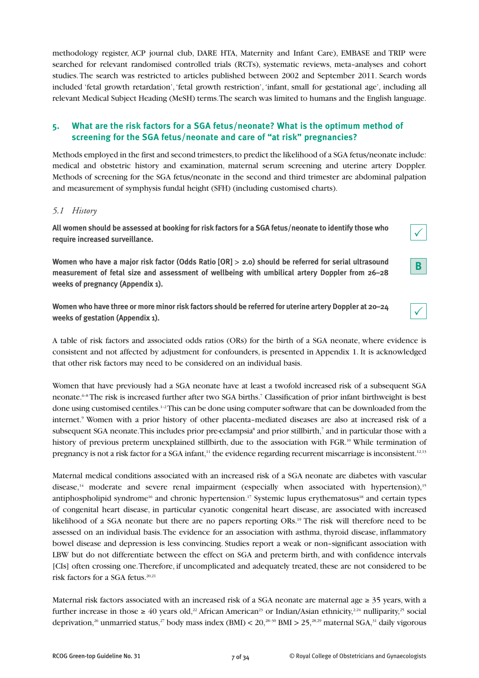methodology register, ACP journal club, DARE HTA, Maternity and Infant Care), EMBASE and TRIP were searched for relevant randomised controlled trials (RCTs), systematic reviews, meta–analyses and cohort studies. The search was restricted to articles published between 2002 and September 2011. Search words included 'fetal growth retardation', 'fetal growth restriction', 'infant, small for gestational age', including all relevant Medical Subject Heading (MeSH) terms. The search was limited to humans and the English language.

# **5. What are the risk factors for a SGA fetus/neonate? What is the optimum method of screening for the SGA fetus/neonate and care of "at risk" pregnancies?**

Methods employed in the first and second trimesters, to predict the likelihood of a SGA fetus/neonate include: medical and obstetric history and examination, maternal serum screening and uterine artery Doppler. Methods of screening for the SGA fetus/neonate in the second and third trimester are abdominal palpation and measurement of symphysis fundal height (SFH) (including customised charts).

# *5.1 History*

**All women should be assessed at booking for risk factors for a SGA fetus/neonate to identify those who require increased surveillance.**

**Women who have a major risk factor (Odds Ratio [OR]** > **2.0) should be referred for serial ultrasound measurement of fetal size and assessment of wellbeing with umbilical artery Doppler from 26–28 weeks of pregnancy (Appendix 1).**

**Women who have three or more minor risk factors should be referred for uterine artery Doppler at 20–24 weeks of gestation (Appendix 1).**

A table of risk factors and associated odds ratios (ORs) for the birth of a SGA neonate, where evidence is consistent and not affected by adjustment for confounders, is presented in Appendix 1. It is acknowledged that other risk factors may need to be considered on an individual basis.

Women that have previously had a SGA neonate have at least a twofold increased risk of a subsequent SGA neonate.6–8 The risk is increased further after two SGA births.7 Classification of prior infant birthweight is best done using customised centiles.<sup>1-2</sup>This can be done using computer software that can be downloaded from the internet.9 Women with a prior history of other placenta–mediated diseases are also at increased risk of a subsequent SGA neonate. This includes prior pre-eclampsia<sup>8</sup> and prior stillbirth,<sup>7</sup> and in particular those with a history of previous preterm unexplained stillbirth, due to the association with FGR.<sup>10</sup> While termination of pregnancy is not a risk factor for a SGA infant,<sup>11</sup> the evidence regarding recurrent miscarriage is inconsistent.<sup>12,13</sup>

Maternal medical conditions associated with an increased risk of a SGA neonate are diabetes with vascular disease,<sup>14</sup> moderate and severe renal impairment (especially when associated with hypertension),<sup>15</sup> antiphospholipid syndrome<sup>16</sup> and chronic hypertension.<sup>17</sup> Systemic lupus erythematosus<sup>18</sup> and certain types of congenital heart disease, in particular cyanotic congenital heart disease, are associated with increased likelihood of a SGA neonate but there are no papers reporting ORs.<sup>19</sup> The risk will therefore need to be assessed on an individual basis. The evidence for an association with asthma, thyroid disease, inflammatory bowel disease and depression is less convincing. Studies report a weak or non–significant association with LBW but do not differentiate between the effect on SGA and preterm birth, and with confidence intervals [CIs] often crossing one. Therefore, if uncomplicated and adequately treated, these are not considered to be risk factors for a SGA fetus.<sup>20,21</sup>

Maternal risk factors associated with an increased risk of a SGA neonate are maternal age  $\geq 35$  years, with a further increase in those  $\geq 40$  years old,<sup>22</sup> African American<sup>23</sup> or Indian/Asian ethnicity,<sup>224</sup> nulliparity,<sup>25</sup> social deprivation,<sup>26</sup> unmarried status,<sup>27</sup> body mass index (BMI) <  $20,^{28-30}$  BMI >  $25,^{28,29}$  maternal SGA,<sup>31</sup> daily vigorous



|--|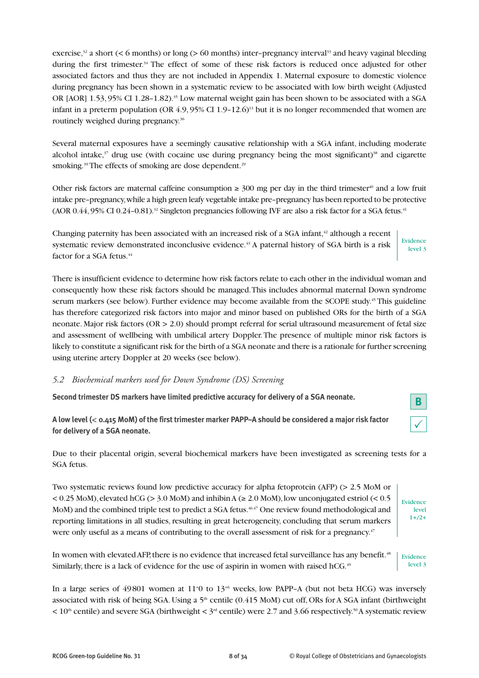exercise, $32$  a short (< 6 months) or long (> 60 months) inter-pregnancy interval<sup>33</sup> and heavy vaginal bleeding during the first trimester.<sup>34</sup> The effect of some of these risk factors is reduced once adjusted for other associated factors and thus they are not included in Appendix 1. Maternal exposure to domestic violence during pregnancy has been shown in a systematic review to be associated with low birth weight (Adjusted OR [AOR] 1.53, 95% CI 1.28–1.82).<sup>35</sup> Low maternal weight gain has been shown to be associated with a SGA infant in a preterm population (OR  $4.9,95\%$  CI 1.9–12.6)<sup>13</sup> but it is no longer recommended that women are routinely weighed during pregnancy.<sup>36</sup>

Several maternal exposures have a seemingly causative relationship with a SGA infant, including moderate alcohol intake, $37$  drug use (with cocaine use during pregnancy being the most significant) $38$  and cigarette smoking.<sup>39</sup> The effects of smoking are dose dependent.<sup>29</sup>

Other risk factors are maternal caffeine consumption  $\geq 300$  mg per day in the third trimester<sup>40</sup> and a low fruit intake pre–pregnancy, while a high green leafy vegetable intake pre–pregnancy has been reported to be protective  $(AOR\ 0.44, 95\% \ CI\ 0.24-0.81).$ <sup>32</sup> Singleton pregnancies following IVF are also a risk factor for a SGA fetus.<sup>41</sup>

Changing paternity has been associated with an increased risk of a SGA infant, $42$  although a recent systematic review demonstrated inconclusive evidence.<sup>43</sup> A paternal history of SGA birth is a risk factor for a SGA fetus.<sup>44</sup> Evidence level 3

There is insufficient evidence to determine how risk factors relate to each other in the individual woman and consequently how these risk factors should be managed. This includes abnormal maternal Down syndrome serum markers (see below). Further evidence may become available from the SCOPE study.<sup>45</sup> This guideline has therefore categorized risk factors into major and minor based on published ORs for the birth of a SGA neonate. Major risk factors (OR > 2.0) should prompt referral for serial ultrasound measurement of fetal size and assessment of wellbeing with umbilical artery Doppler. The presence of multiple minor risk factors is likely to constitute a significant risk for the birth of a SGA neonate and there is a rationale for further screening using uterine artery Doppler at 20 weeks (see below).

#### *5.2 Biochemical markers used for Down Syndrome (DS) Screening*

**Second trimester DS markers have limited predictive accuracy for delivery of a SGA neonate.**

**A low level (**< **0.415 MoM) of the first trimester marker PAPP–A should be considered a major risk factor for delivery of a SGA neonate.**

Due to their placental origin, several biochemical markers have been investigated as screening tests for a SGA fetus.

Two systematic reviews found low predictive accuracy for alpha fetoprotein (AFP) (> 2.5 MoM or  $< 0.25$  MoM), elevated hCG ( $> 3.0$  MoM) and inhibin A ( $\geq 2.0$  MoM), low unconjugated estriol ( $< 0.5$ ) MoM) and the combined triple test to predict a SGA fetus.<sup>46,47</sup> One review found methodological and reporting limitations in all studies, resulting in great heterogeneity, concluding that serum markers were only useful as a means of contributing to the overall assessment of risk for a pregnancy.<sup>47</sup>

In women with elevated AFP, there is no evidence that increased fetal surveillance has any benefit.<sup>48</sup> Similarly, there is a lack of evidence for the use of aspirin in women with raised  $hCG.<sup>49</sup>$ Evidence level 3

In a large series of 49801 women at 11<sup>+</sup>0 to 13<sup>+6</sup> weeks, low PAPP-A (but not beta HCG) was inversely associated with risk of being SGA. Using a  $5<sup>th</sup>$  centile (0.415 MoM) cut off, ORs for A SGA infant (birthweight  $< 10<sup>th</sup>$  centile) and severe SGA (birthweight  $< 3<sup>rd</sup>$  centile) were 2.7 and 3.66 respectively.<sup>50</sup> A systematic review

 $\checkmark$ 

Evidence level  $1+$ /2+

**B**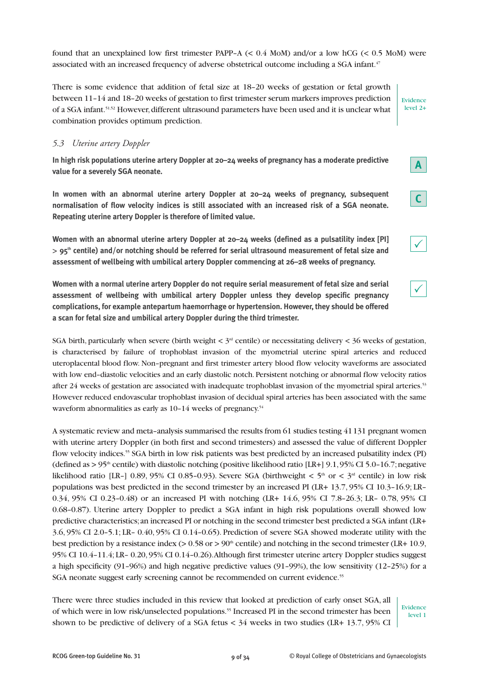found that an unexplained low first trimester PAPP-A  $(< 0.4$  MoM) and/or a low hCG  $(< 0.5$  MoM) were associated with an increased frequency of adverse obstetrical outcome including a SGA infant.<sup>47</sup>

There is some evidence that addition of fetal size at 18–20 weeks of gestation or fetal growth between 11–14 and 18–20 weeks of gestation to first trimester serum markers improves prediction of a SGA infant.51,52 However, different ultrasound parameters have been used and it is unclear what combination provides optimum prediction.

#### *5.3 Uterine artery Doppler*

**In high risk populations uterine artery Doppler at 20–24 weeks of pregnancy has a moderate predictive value for a severely SGA neonate.**

**In women with an abnormal uterine artery Doppler at 20–24 weeks of pregnancy, subsequent normalisation of flow velocity indices is still associated with an increased risk of a SGA neonate. Repeating uterine artery Doppler is therefore of limited value.**

**Women with an abnormal uterine artery Doppler at 20–24 weeks (defined as a pulsatility index [PI]**  > **95th centile) and/or notching should be referred for serial ultrasound measurement of fetal size and assessment of wellbeing with umbilical artery Doppler commencing at 26–28 weeks of pregnancy.**

**Women with a normal uterine artery Doppler do not require serial measurement of fetal size and serial assessment of wellbeing with umbilical artery Doppler unless they develop specific pregnancy complications, for example antepartum haemorrhage or hypertension. However, they should be offered a scan for fetal size and umbilical artery Doppler during the third trimester.**

SGA birth, particularly when severe (birth weight  $< 3<sup>rd</sup>$  centile) or necessitating delivery  $< 36$  weeks of gestation, is characterised by failure of trophoblast invasion of the myometrial uterine spiral arteries and reduced uteroplacental blood flow. Non–pregnant and first trimester artery blood flow velocity waveforms are associated with low end–diastolic velocities and an early diastolic notch. Persistent notching or abnormal flow velocity ratios after 24 weeks of gestation are associated with inadequate trophoblast invasion of the myometrial spiral arteries.<sup>53</sup> However reduced endovascular trophoblast invasion of decidual spiral arteries has been associated with the same waveform abnormalities as early as 10-14 weeks of pregnancy.<sup>54</sup>

A systematic review and meta–analysis summarised the results from 61 studies testing 41 131 pregnant women with uterine artery Doppler (in both first and second trimesters) and assessed the value of different Doppler flow velocity indices.<sup>55</sup> SGA birth in low risk patients was best predicted by an increased pulsatility index (PI) (defined as  $> 95<sup>th</sup>$  centile) with diastolic notching (positive likelihood ratio [LR+] 9.1, 95% CI 5.0–16.7; negative likelihood ratio [LR-] 0.89, 95% CI 0.85-0.93). Severe SGA (birthweight  $\lt$  5<sup>th</sup> or  $\lt$  3<sup>rd</sup> centile) in low risk populations was best predicted in the second trimester by an increased PI (LR+ 13.7, 95% CI 10.3–16.9; LR– 0.34, 95% CI 0.23–0.48) or an increased PI with notching (LR+ 14.6, 95% CI 7.8–26.3; LR– 0.78, 95% CI 0.68–0.87). Uterine artery Doppler to predict a SGA infant in high risk populations overall showed low predictive characteristics; an increased PI or notching in the second trimester best predicted a SGA infant (LR+ 3.6, 95% CI 2.0–5.1; LR– 0.40, 95% CI 0.14–0.65). Prediction of severe SGA showed moderate utility with the best prediction by a resistance index (>  $0.58$  or >  $90<sup>th</sup>$  centile) and notching in the second trimester (LR+ 10.9, 95% CI 10.4–11.4; LR– 0.20, 95% CI 0.14–0.26). Although first trimester uterine artery Doppler studies suggest a high specificity (91–96%) and high negative predictive values (91–99%), the low sensitivity (12–25%) for a SGA neonate suggest early screening cannot be recommended on current evidence.<sup>55</sup>

There were three studies included in this review that looked at prediction of early onset SGA, all of which were in low risk/unselected populations.55 Increased PI in the second trimester has been shown to be predictive of delivery of a SGA fetus  $< 34$  weeks in two studies (LR+ 13.7, 95% CI

Evidence level 1

 $\checkmark$ 

**A**

**C**

Evidence level 2+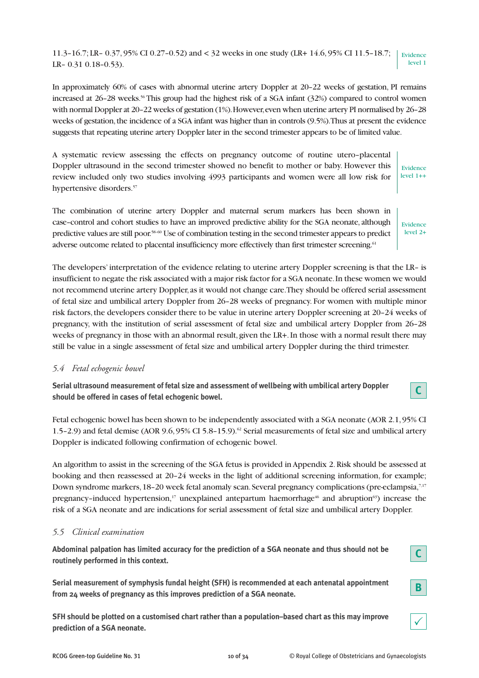11.3–16.7; LR– 0.37, 95% CI 0.27–0.52) and < 32 weeks in one study (LR+ 14.6, 95% CI 11.5–18.7; LR– 0.31 0.18–0.53). Evidence level 1

In approximately 60% of cases with abnormal uterine artery Doppler at 20–22 weeks of gestation, PI remains increased at 26–28 weeks.<sup>56</sup> This group had the highest risk of a SGA infant (32%) compared to control women with normal Doppler at 20–22 weeks of gestation (1%). However, even when uterine artery PI normalised by 26–28 weeks of gestation, the incidence of a SGA infant was higher than in controls (9.5%). Thus at present the evidence suggests that repeating uterine artery Doppler later in the second trimester appears to be of limited value.

A systematic review assessing the effects on pregnancy outcome of routine utero–placental Doppler ultrasound in the second trimester showed no benefit to mother or baby. However this review included only two studies involving 4993 participants and women were all low risk for hypertensive disorders.<sup>57</sup> Evidence level 1++

The combination of uterine artery Doppler and maternal serum markers has been shown in case–control and cohort studies to have an improved predictive ability for the SGA neonate, although predictive values are still poor.58–60 Use of combination testing in the second trimester appears to predict adverse outcome related to placental insufficiency more effectively than first trimester screening.<sup>61</sup>

The developers' interpretation of the evidence relating to uterine artery Doppler screening is that the LR– is insufficient to negate the risk associated with a major risk factor for a SGA neonate. In these women we would not recommend uterine artery Doppler, as it would not change care. They should be offered serial assessment of fetal size and umbilical artery Doppler from 26–28 weeks of pregnancy. For women with multiple minor risk factors, the developers consider there to be value in uterine artery Doppler screening at 20–24 weeks of pregnancy, with the institution of serial assessment of fetal size and umbilical artery Doppler from 26–28 weeks of pregnancy in those with an abnormal result, given the LR+. In those with a normal result there may still be value in a single assessment of fetal size and umbilical artery Doppler during the third trimester.

# *5.4 Fetal echogenic bowel*

**Serial ultrasound measurement of fetal size and assessment of wellbeing with umbilical artery Doppler should be offered in cases of fetal echogenic bowel.**

Fetal echogenic bowel has been shown to be independently associated with a SGA neonate (AOR 2.1, 95% CI 1.5–2.9) and fetal demise (AOR 9.6, 95% CI 5.8–15.9).<sup>62</sup> Serial measurements of fetal size and umbilical artery Doppler is indicated following confirmation of echogenic bowel.

An algorithm to assist in the screening of the SGA fetus is provided in Appendix 2. Risk should be assessed at booking and then reassessed at 20–24 weeks in the light of additional screening information, for example; Down syndrome markers, 18–20 week fetal anomaly scan. Several pregnancy complications (pre-eclampsia,<sup>7,17</sup>) pregnancy–induced hypertension,<sup>17</sup> unexplained antepartum haemorrhage<sup>46</sup> and abruption<sup>63</sup>) increase the risk of a SGA neonate and are indications for serial assessment of fetal size and umbilical artery Doppler.

# *5.5 Clinical examination*

**Abdominal palpation has limited accuracy for the prediction of a SGA neonate and thus should not be routinely performed in this context.**

**Serial measurement of symphysis fundal height (SFH) is recommended at each antenatal appointment from 24 weeks of pregnancy as this improves prediction of a SGA neonate.**

**SFH should be plotted on a customised chart rather than a population–based chart as this may improve prediction of a SGA neonate.**

Evidence level 2+

**C**

**C**



**B**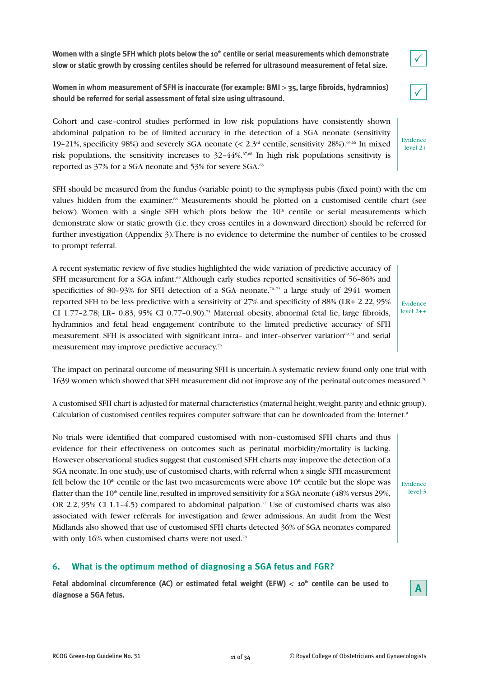Women with a single SFH which plots below the 10<sup>th</sup> centile or serial measurements which demonstrate **slow or static growth by crossing centiles should be referred for ultrasound measurement of fetal size.**

**Women in whom measurement of SFH is inaccurate (for example: BMI** > **35, large fibroids, hydramnios) should be referred for serial assessment of fetal size using ultrasound.**

**C**ohort and case–control studies performed in low risk populations have consistently shown abdominal palpation to be of limited accuracy in the detection of a SGA neonate (sensitivity 19–21%, specificity 98%) and severely SGA neonate  $\ll 2.3<sup>rd</sup>$  centile, sensitivity 28%).<sup>65,66</sup> In mixed risk populations, the sensitivity increases to  $32-44\%$ .<sup>67,68</sup> In high risk populations sensitivity is reported as 37% for a SGA neonate and 53% for severe SGA.<sup>65</sup>

SFH should be measured from the fundus (variable point) to the symphysis pubis (fixed point) with the cm values hidden from the examiner.<sup>68</sup> Measurements should be plotted on a customised centile chart (see below). Women with a single SFH which plots below the  $10<sup>th</sup>$  centile or serial measurements which demonstrate slow or static growth (i.e. they cross centiles in a downward direction) should be referred for further investigation (Appendix 3). There is no evidence to determine the number of centiles to be crossed to prompt referral.

A recent systematic review of five studies highlighted the wide variation of predictive accuracy of SFH measurement for a SGA infant.<sup>69</sup> Although early studies reported sensitivities of 56–86% and specificities of 80–93% for SFH detection of a SGA neonate, $70-72$  a large study of 2941 women reported SFH to be less predictive with a sensitivity of 27% and specificity of 88% (LR+ 2.22, 95% CI 1.77-2.78; LR- 0.83, 95% CI 0.77-0.90).<sup>73</sup> Maternal obesity, abnormal fetal lie, large fibroids, hydramnios and fetal head engagement contribute to the limited predictive accuracy of SFH measurement. SFH is associated with significant intra- and inter-observer variation<sup>69,74</sup> and serial measurement may improve predictive accuracy.75

Evidence level 2++

 $\checkmark$ 

 $\checkmark$ 

Evidence level 2+

The impact on perinatal outcome of measuring SFH is uncertain. A systematic review found only one trial with 1639 women which showed that SFH measurement did not improve any of the perinatal outcomes measured.76

A customised SFH chart is adjusted for maternal characteristics (maternal height, weight, parity and ethnic group). Calculation of customised centiles requires computer software that can be downloaded from the Internet.<sup>9</sup>

No trials were identified that compared customised with non–customised SFH charts and thus evidence for their effectiveness on outcomes such as perinatal morbidity/mortality is lacking. However observational studies suggest that customised SFH charts may improve the detection of a SGA neonate. In one study, use of customised charts, with referral when a single SFH measurement fell below the  $10<sup>th</sup>$  centile or the last two measurements were above  $10<sup>th</sup>$  centile but the slope was flatter than the  $10<sup>th</sup>$  centile line, resulted in improved sensitivity for a SGA neonate (48% versus 29%, OR 2.2, 95% CI 1.1–4.5) compared to abdominal palpation.<sup>77</sup> Use of customised charts was also associated with fewer referrals for investigation and fewer admissions. An audit from the West Midlands also showed that use of customised SFH charts detected 36% of SGA neonates compared with only 16% when customised charts were not used.<sup>78</sup>

# **6. What is the optimum method of diagnosing a SGA fetus and FGR?**

**Fetal abdominal circumference (AC) or estimated fetal weight (EFW)** < **10th centile can be used to diagnose a SGA fetus.**



Evidence level 3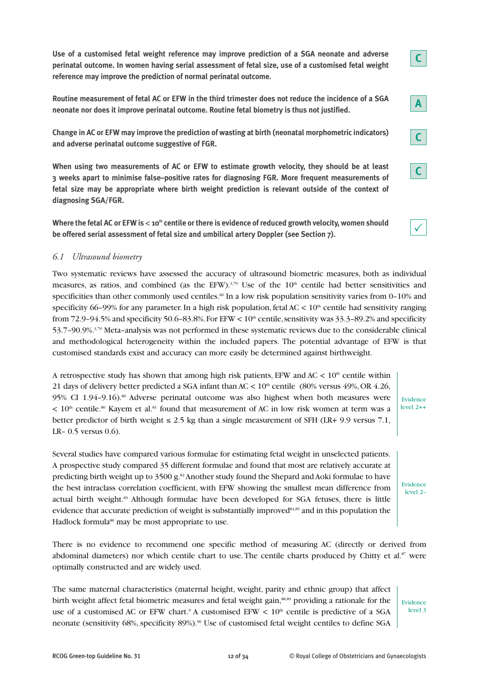**Use of a customised fetal weight reference may improve prediction of a SGA neonate and adverse perinatal outcome. In women having serial assessment of fetal size, use of a customised fetal weight reference may improve the prediction of normal perinatal outcome.**

**Routine measurement of fetal AC or EFW in the third trimester does not reduce the incidence of a SGA neonate nor does it improve perinatal outcome. Routine fetal biometry is thus not justified.**

**Change in AC or EFW may improve the prediction of wasting at birth (neonatal morphometric indicators) and adverse perinatal outcome suggestive of FGR.**

**When using two measurements of AC or EFW to estimate growth velocity, they should be at least 3 weeks apart to minimise false–positive rates for diagnosing FGR. More frequent measurements of fetal size may be appropriate where birth weight prediction is relevant outside of the context of diagnosing SGA/FGR.**

Where the fetal AC or EFW is < 10<sup>th</sup> centile or there is evidence of reduced growth velocity, women should **be offered serial assessment of fetal size and umbilical artery Doppler (see Section 7).**

# *6.1 Ultrasound biometry*

Two systematic reviews have assessed the accuracy of ultrasound biometric measures, both as individual measures, as ratios, and combined (as the EFW). $379$  Use of the  $10<sup>th</sup>$  centile had better sensitivities and specificities than other commonly used centiles.<sup>66</sup> In a low risk population sensitivity varies from 0–10% and specificity 66–99% for any parameter. In a high risk population, fetal AC  $< 10<sup>th</sup>$  centile had sensitivity ranging from 72.9–94.5% and specificity 50.6–83.8%. For EFW <  $10<sup>th</sup>$  centile, sensitivity was 33.3–89.2% and specificity 53.7–90.9%.3,79 Meta–analysis was not performed in these systematic reviews due to the considerable clinical and methodological heterogeneity within the included papers. The potential advantage of EFW is that customised standards exist and accuracy can more easily be determined against birthweight.

A retrospective study has shown that among high risk patients, EFW and AC  $< 10<sup>th</sup>$  centile within 21 days of delivery better predicted a SGA infant than  $AC < 10<sup>th</sup>$  centile (80% versus 49%, OR 4.26, 95% CI 1.94-9.16).<sup>80</sup> Adverse perinatal outcome was also highest when both measures were  $< 10<sup>th</sup>$  centile.<sup>80</sup> Kayem et al.<sup>81</sup> found that measurement of AC in low risk women at term was a better predictor of birth weight  $\leq 2.5$  kg than a single measurement of SFH (LR+ 9.9 versus 7.1, LR– 0.5 versus 0.6).

Several studies have compared various formulae for estimating fetal weight in unselected patients. A prospective study compared 35 different formulae and found that most are relatively accurate at predicting birth weight up to 3500 g.<sup>82</sup> Another study found the Shepard and Aoki formulae to have the best intraclass correlation coefficient, with EFW showing the smallest mean difference from actual birth weight.<sup>83</sup> Although formulae have been developed for SGA fetuses, there is little evidence that accurate prediction of weight is substantially improved<sup>84,85</sup> and in this population the Hadlock formula<sup>86</sup> may be most appropriate to use.

There is no evidence to recommend one specific method of measuring AC (directly or derived from abdominal diameters) nor which centile chart to use. The centile charts produced by Chitty et al. $87$  were optimally constructed and are widely used.

The same maternal characteristics (maternal height, weight, parity and ethnic group) that affect birth weight affect fetal biometric measures and fetal weight gain,<sup>88,89</sup> providing a rationale for the use of a customised AC or EFW chart.<sup>9</sup> A customised EFW  $\lt$  10<sup>th</sup> centile is predictive of a SGA neonate (sensitivity 68%, specificity 89%).<sup>90</sup> Use of customised fetal weight centiles to define SGA

Evidence level 3

**A**

**C**

**C**

 $\checkmark$ 

Evidence level 2++

Evidence  $longel 2$ 

**C**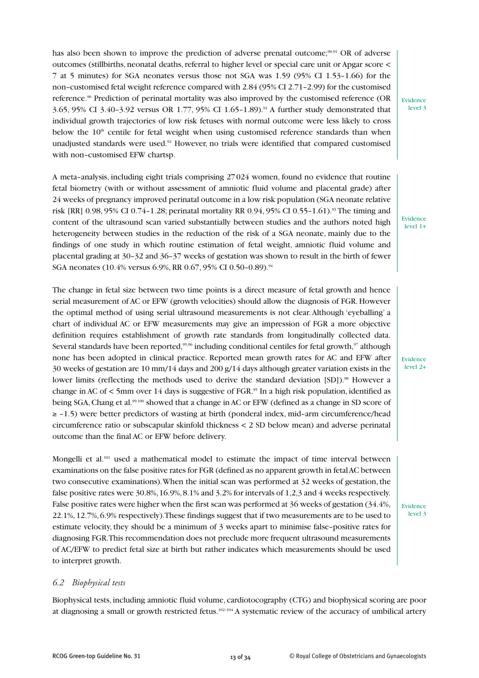has also been shown to improve the prediction of adverse prenatal outcome;<sup>90,91</sup> OR of adverse outcomes (stillbirths, neonatal deaths, referral to higher level or special care unit or Apgar score < 7 at 5 minutes) for SGA neonates versus those not SGA was 1.59 (95% CI 1.53–1.66) for the non–customised fetal weight reference compared with 2.84 (95% CI 2.71–2.99) for the customised reference.<sup>90</sup> Prediction of perinatal mortality was also improved by the customised reference (OR 3.65, 95% CI 3.40–3.92 versus OR 1.77, 95% CI 1.65–1.89).91 A further study demonstrated that individual growth trajectories of low risk fetuses with normal outcome were less likely to cross below the  $10<sup>th</sup>$  centile for fetal weight when using customised reference standards than when unadjusted standards were used.<sup>92</sup> However, no trials were identified that compared customised with non–customised EFW chartsp.

A meta–analysis, including eight trials comprising 27 024 women, found no evidence that routine fetal biometry (with or without assessment of amniotic fluid volume and placental grade) after 24 weeks of pregnancy improved perinatal outcome in a low risk population (SGA neonate relative risk [RR] 0.98, 95% CI 0.74-1.28; perinatal mortality RR 0.94, 95% CI 0.55-1.61).<sup>93</sup> The timing and content of the ultrasound scan varied substantially between studies and the authors noted high heterogeneity between studies in the reduction of the risk of a SGA neonate, mainly due to the findings of one study in which routine estimation of fetal weight, amniotic fluid volume and placental grading at 30–32 and 36–37 weeks of gestation was shown to result in the birth of fewer SGA neonates (10.4% versus 6.9%, RR 0.67, 95% CI 0.50-0.89).<sup>94</sup>

The change in fetal size between two time points is a direct measure of fetal growth and hence serial measurement of AC or EFW (growth velocities) should allow the diagnosis of FGR. However the optimal method of using serial ultrasound measurements is not clear. Although 'eyeballing' a chart of individual AC or EFW measurements may give an impression of FGR a more objective definition requires establishment of growth rate standards from longitudinally collected data. Several standards have been reported,<sup>95,96</sup> including conditional centiles for fetal growth,<sup>97</sup> although none has been adopted in clinical practice. Reported mean growth rates for AC and EFW after 30 weeks of gestation are 10 mm/14 days and 200 g/14 days although greater variation exists in the lower limits (reflecting the methods used to derive the standard deviation [SD]).<sup>98</sup> However a change in AC of  $\lt$  5mm over 14 days is suggestive of FGR.<sup>95</sup> In a high risk population, identified as being SGA, Chang et al.<sup>99,100</sup> showed that a change in AC or EFW (defined as a change in SD score of ≥ –1.5) were better predictors of wasting at birth (ponderal index, mid–arm circumference/head circumference ratio or subscapular skinfold thickness < 2 SD below mean) and adverse perinatal outcome than the final AC or EFW before delivery.

Mongelli et al.<sup>101</sup> used a mathematical model to estimate the impact of time interval between examinations on the false positive rates for FGR (defined as no apparent growth in fetal AC between two consecutive examinations). When the initial scan was performed at 32 weeks of gestation, the false positive rates were 30.8%, 16.9%, 8.1% and 3.2% for intervals of 1,2,3 and 4 weeks respectively. False positive rates were higher when the first scan was performed at 36 weeks of gestation (34.4%, 22.1%, 12.7%, 6.9% respectively). These findings suggest that if two measurements are to be used to estimate velocity, they should be a minimum of 3 weeks apart to minimise false–positive rates for diagnosing FGR. This recommendation does not preclude more frequent ultrasound measurements of AC/EFW to predict fetal size at birth but rather indicates which measurements should be used to interpret growth.

# *6.2 Biophysical tests*

Biophysical tests, including amniotic fluid volume, cardiotocography (CTG) and biophysical scoring are poor at diagnosing a small or growth restricted fetus.<sup>102–104</sup> A systematic review of the accuracy of umbilical artery

Evidence level 3

Evidence level 1+

Evidence level 2+

Evidence level 3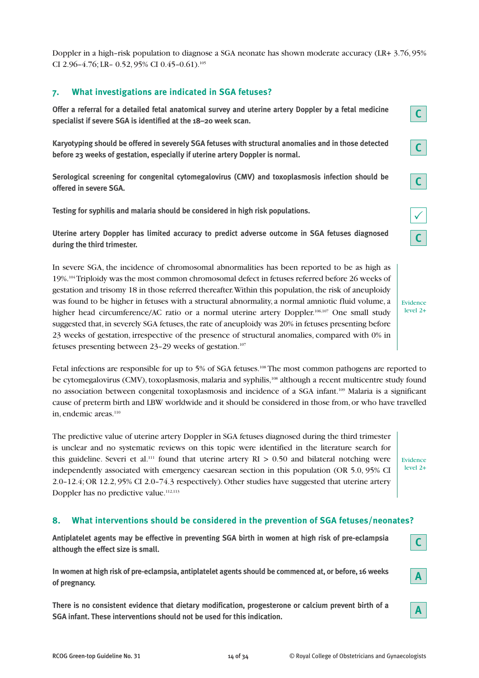Doppler in a high–risk population to diagnose a SGA neonate has shown moderate accuracy (LR+ 3.76, 95% CI 2.96-4.76; LR- 0.52, 95% CI 0.45-0.61).<sup>105</sup>

# **7. What investigations are indicated in SGA fetuses?**

**Offer a referral for a detailed fetal anatomical survey and uterine artery Doppler by a fetal medicine specialist if severe SGA is identified at the 18–20 week scan.**

**Karyotyping should be offered in severely SGA fetuses with structural anomalies and in those detected before 23 weeks of gestation, especially if uterine artery Doppler is normal.**

**Serological screening for congenital cytomegalovirus (CMV) and toxoplasmosis infection should be offered in severe SGA.**

**Testing for syphilis and malaria should be considered in high risk populations.**

**Uterine artery Doppler has limited accuracy to predict adverse outcome in SGA fetuses diagnosed during the third trimester.**

In severe SGA, the incidence of chromosomal abnormalities has been reported to be as high as 19%.104Triploidy was the most common chromosomal defect in fetuses referred before 26 weeks of gestation and trisomy 18 in those referred thereafter. Within this population, the risk of aneuploidy was found to be higher in fetuses with a structural abnormality, a normal amniotic fluid volume, a higher head circumference/AC ratio or a normal uterine artery Doppler.<sup>106,107</sup> One small study suggested that, in severely SGA fetuses, the rate of aneuploidy was 20% in fetuses presenting before 23 weeks of gestation, irrespective of the presence of structural anomalies, compared with 0% in fetuses presenting between 23–29 weeks of gestation.107

Evidence level 2+

**C**

**C**

**C**

 $\checkmark$ 

**C**

Fetal infections are responsible for up to 5% of SGA fetuses.<sup>108</sup> The most common pathogens are reported to be cytomegalovirus (CMV), toxoplasmosis, malaria and syphilis,<sup>108</sup> although a recent multicentre study found no association between congenital toxoplasmosis and incidence of a SGA infant.109 Malaria is a significant cause of preterm birth and LBW worldwide and it should be considered in those from, or who have travelled in, endemic areas.<sup>110</sup>

The predictive value of uterine artery Doppler in SGA fetuses diagnosed during the third trimester is unclear and no systematic reviews on this topic were identified in the literature search for this guideline. Severi et al.<sup>111</sup> found that uterine artery  $RI > 0.50$  and bilateral notching were independently associated with emergency caesarean section in this population (OR 5.0, 95% CI 2.0–12.4; OR 12.2, 95% CI 2.0–74.3 respectively). Other studies have suggested that uterine artery Doppler has no predictive value.<sup>112,113</sup>

Evidence level 2+

# **8. What interventions should be considered in the prevention of SGA fetuses/neonates?**

**Antiplatelet agents may be effective in preventing SGA birth in women at high risk of pre-eclampsia although the effect size is small.**

**In women at high risk of pre-eclampsia, antiplatelet agents should be commenced at, or before, 16 weeks of pregnancy.**

**There is no consistent evidence that dietary modification, progesterone or calcium prevent birth of a SGA infant. These interventions should not be used for this indication.**

**A**

**A**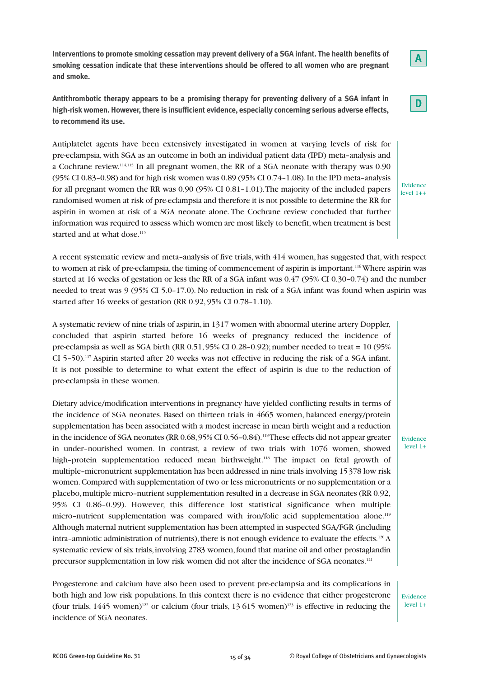**high-risk women. However, there is insufficient evidence, especially concerning serious adverse effects, to recommend its use.**

**and smoke.**

Antiplatelet agents have been extensively investigated in women at varying levels of risk for pre-eclampsia, with SGA as an outcome in both an individual patient data (IPD) meta–analysis and a Cochrane review.114,115 In all pregnant women, the RR of a SGA neonate with therapy was 0.90 (95% CI 0.83–0.98) and for high risk women was 0.89 (95% CI 0.74–1.08). In the IPD meta–analysis for all pregnant women the RR was 0.90 (95% CI 0.81–1.01). The majority of the included papers randomised women at risk of pre-eclampsia and therefore it is not possible to determine the RR for aspirin in women at risk of a SGA neonate alone. The Cochrane review concluded that further information was required to assess which women are most likely to benefit, when treatment is best started and at what dose.<sup>115</sup>

**Interventions to promote smoking cessation may prevent delivery of a SGA infant. The health benefits of smoking cessation indicate that these interventions should be offered to all women who are pregnant**

**Antithrombotic therapy appears to be a promising therapy for preventing delivery of a SGA infant in** 

A recent systematic review and meta–analysis of five trials, with 414 women, has suggested that, with respect to women at risk of pre-eclampsia, the timing of commencement of aspirin is important.116Where aspirin was started at 16 weeks of gestation or less the RR of a SGA infant was 0.47 (95% CI 0.30–0.74) and the number needed to treat was 9 (95% CI 5.0–17.0). No reduction in risk of a SGA infant was found when aspirin was started after 16 weeks of gestation (RR 0.92, 95% CI 0.78–1.10).

A systematic review of nine trials of aspirin, in 1317 women with abnormal uterine artery Doppler, concluded that aspirin started before 16 weeks of pregnancy reduced the incidence of pre-eclampsia as well as SGA birth (RR 0.51, 95% CI 0.28–0.92); number needed to treat = 10 (95% CI 5–50).117 Aspirin started after 20 weeks was not effective in reducing the risk of a SGA infant. It is not possible to determine to what extent the effect of aspirin is due to the reduction of pre-eclampsia in these women.

Dietary advice/modification interventions in pregnancy have yielded conflicting results in terms of the incidence of SGA neonates. Based on thirteen trials in 4665 women, balanced energy/protein supplementation has been associated with a modest increase in mean birth weight and a reduction in the incidence of SGA neonates (RR 0.68, 95% CI 0.56-0.84).<sup>118</sup>These effects did not appear greater in under–nourished women. In contrast, a review of two trials with 1076 women, showed high-protein supplementation reduced mean birthweight.<sup>118</sup> The impact on fetal growth of multiple–micronutrient supplementation has been addressed in nine trials involving 15 378 low risk women. Compared with supplementation of two or less micronutrients or no supplementation or a placebo, multiple micro–nutrient supplementation resulted in a decrease in SGA neonates (RR 0.92, 95% CI 0.86–0.99). However, this difference lost statistical significance when multiple micro-nutrient supplementation was compared with iron/folic acid supplementation alone.<sup>119</sup> Although maternal nutrient supplementation has been attempted in suspected SGA/FGR (including intra–amniotic administration of nutrients), there is not enough evidence to evaluate the effects.120A systematic review of six trials, involving 2783 women, found that marine oil and other prostaglandin precursor supplementation in low risk women did not alter the incidence of SGA neonates.<sup>121</sup>

Progesterone and calcium have also been used to prevent pre-eclampsia and its complications in both high and low risk populations. In this context there is no evidence that either progesterone (four trials,  $1445$  women)<sup>122</sup> or calcium (four trials,  $13615$  women)<sup>123</sup> is effective in reducing the incidence of SGA neonates.

Evidence level 1+



Evidence level 1+

**A**

Evidence  $level 1++$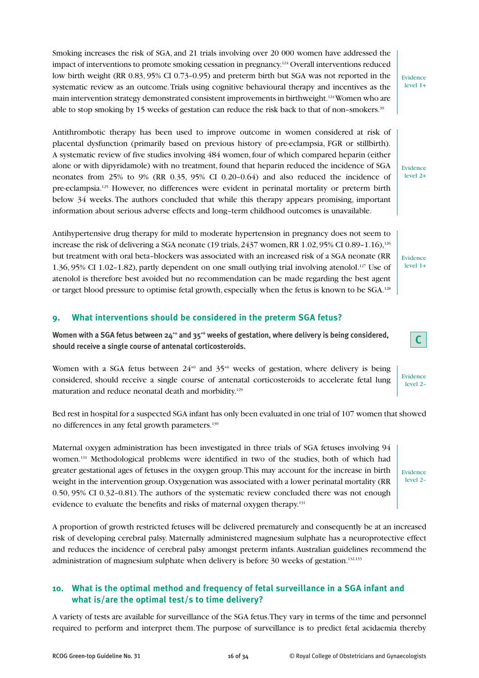Smoking increases the risk of SGA, and 21 trials involving over 20 000 women have addressed the impact of interventions to promote smoking cessation in pregnancy.<sup>124</sup> Overall interventions reduced low birth weight (RR 0.83, 95% CI 0.73–0.95) and preterm birth but SGA was not reported in the systematic review as an outcome. Trials using cognitive behavioural therapy and incentives as the main intervention strategy demonstrated consistent improvements in birthweight.<sup>124</sup>Women who are able to stop smoking by 15 weeks of gestation can reduce the risk back to that of non-smokers.<sup>39</sup>

Antithrombotic therapy has been used to improve outcome in women considered at risk of placental dysfunction (primarily based on previous history of pre-eclampsia, FGR or stillbirth). A systematic review of five studies involving 484 women, four of which compared heparin (either alone or with dipyridamole) with no treatment, found that heparin reduced the incidence of SGA neonates from 25% to 9% (RR 0.35, 95% CI 0.20–0.64) and also reduced the incidence of pre-eclampsia.125 However, no differences were evident in perinatal mortality or preterm birth below 34 weeks. The authors concluded that while this therapy appears promising, important information about serious adverse effects and long–term childhood outcomes is unavailable.

Antihypertensive drug therapy for mild to moderate hypertension in pregnancy does not seem to increase the risk of delivering a SGA neonate (19 trials,  $2437$  women, RR 1.02,  $95\%$  CI 0.89-1.16),<sup>126</sup> but treatment with oral beta–blockers was associated with an increased risk of a SGA neonate (RR 1.36, 95% CI 1.02–1.82), partly dependent on one small outlying trial involving atenolol.127 Use of atenolol is therefore best avoided but no recommendation can be made regarding the best agent or target blood pressure to optimise fetal growth, especially when the fetus is known to be SGA.128

# **9. What interventions should be considered in the preterm SGA fetus?**

**Women with a SGA fetus between 24+0 and 35+6 weeks of gestation, where delivery is being considered, should receive a single course of antenatal corticosteroids.**

Women with a SGA fetus between  $24^{+0}$  and  $35^{+6}$  weeks of gestation, where delivery is being considered, should receive a single course of antenatal corticosteroids to accelerate fetal lung maturation and reduce neonatal death and morbidity.<sup>129</sup>

Bed rest in hospital for a suspected SGA infant has only been evaluated in one trial of 107 women that showed no differences in any fetal growth parameters.<sup>130</sup>

Maternal oxygen administration has been investigated in three trials of SGA fetuses involving 94 women.<sup>131</sup> Methodological problems were identified in two of the studies, both of which had greater gestational ages of fetuses in the oxygen group. This may account for the increase in birth weight in the intervention group. Oxygenation was associated with a lower perinatal mortality (RR 0.50, 95% CI 0.32–0.81). The authors of the systematic review concluded there was not enough evidence to evaluate the benefits and risks of maternal oxygen therapy.<sup>131</sup>

A proportion of growth restricted fetuses will be delivered prematurely and consequently be at an increased risk of developing cerebral palsy. Maternally administered magnesium sulphate has a neuroprotective effect and reduces the incidence of cerebral palsy amongst preterm infants. Australian guidelines recommend the administration of magnesium sulphate when delivery is before 30 weeks of gestation.<sup>132,133</sup>

# **10. What is the optimal method and frequency of fetal surveillance in a SGA infant and what is/are the optimal test/s to time delivery?**

A variety of tests are available for surveillance of the SGA fetus. They vary in terms of the time and personnel required to perform and interpret them. The purpose of surveillance is to predict fetal acidaemia thereby

Evidence level 1+

Evidence level 2+

Evidence level 1+

Evidence level 2–

Evidence level 2–

**C**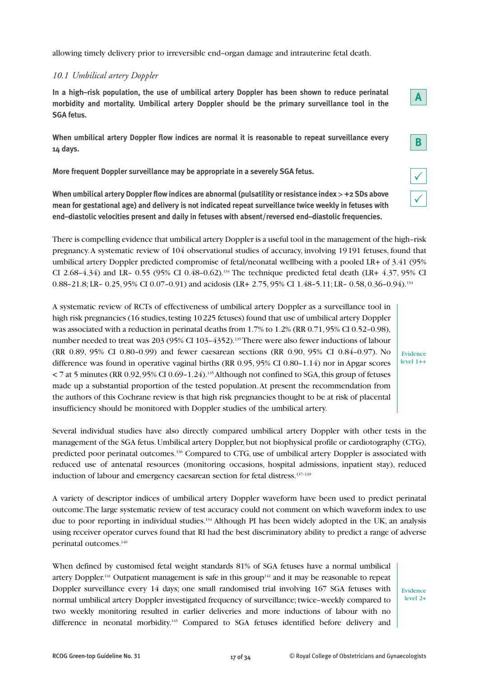allowing timely delivery prior to irreversible end–organ damage and intrauterine fetal death.

# *10.1 Umbilical artery Doppler*

**In a high–risk population, the use of umbilical artery Doppler has been shown to reduce perinatal morbidity and mortality. Umbilical artery Doppler should be the primary surveillance tool in the SGA fetus.**

**When umbilical artery Doppler flow indices are normal it is reasonable to repeat surveillance every 14 days.**

**More frequent Doppler surveillance may be appropriate in a severely SGA fetus.**

**When umbilical artery Doppler flow indices are abnormal (pulsatility or resistance index > +2 SDs above mean for gestational age) and delivery is not indicated repeat surveillance twice weekly in fetuses with end–diastolic velocities present and daily in fetuses with absent/reversed end–diastolic frequencies.**

There is compelling evidence that umbilical artery Doppler is a useful tool in the management of the high–risk pregnancy. A systematic review of 104 observational studies of accuracy, involving 19 191 fetuses, found that umbilical artery Doppler predicted compromise of fetal/neonatal wellbeing with a pooled LR+ of 3.41 (95% CI 2.68–4.34) and LR– 0.55 (95% CI 0.48–0.62).<sup>134</sup> The technique predicted fetal death (LR+ 4.37, 95% CI 0.88–21.8; LR– 0.25, 95% CI 0.07–0.91) and acidosis (LR+ 2.75, 95% CI 1.48–5.11; LR– 0.58, 0.36–0.94).<sup>134</sup>

A systematic review of RCTs of effectiveness of umbilical artery Doppler as a surveillance tool in high risk pregnancies (16 studies, testing 10 225 fetuses) found that use of umbilical artery Doppler was associated with a reduction in perinatal deaths from 1.7% to 1.2% (RR 0.71, 95% CI 0.52–0.98), number needed to treat was 203 (95% CI 103-4352).<sup>135</sup> There were also fewer inductions of labour (RR 0.89, 95% CI 0.80–0.99) and fewer caesarean sections (RR 0.90, 95% CI 0.84–0.97). No difference was found in operative vaginal births (RR 0.95, 95% CI 0.80–1.14) nor in Apgar scores  $<$  7 at 5 minutes (RR 0.92, 95% CI 0.69-1.24).<sup>135</sup> Although not confined to SGA, this group of fetuses made up a substantial proportion of the tested population. At present the recommendation from the authors of this Cochrane review is that high risk pregnancies thought to be at risk of placental insufficiency should be monitored with Doppler studies of the umbilical artery.

Evidence level 1++

**A**

 $\checkmark$ 

 $\checkmark$ 

**B**

Several individual studies have also directly compared umbilical artery Doppler with other tests in the management of the SGA fetus. Umbilical artery Doppler, but not biophysical profile or cardiotography (CTG), predicted poor perinatal outcomes.<sup>136</sup> Compared to CTG, use of umbilical artery Doppler is associated with reduced use of antenatal resources (monitoring occasions, hospital admissions, inpatient stay), reduced induction of labour and emergency caesarean section for fetal distress.<sup>137-139</sup>

A variety of descriptor indices of umbilical artery Doppler waveform have been used to predict perinatal outcome. The large systematic review of test accuracy could not comment on which waveform index to use due to poor reporting in individual studies.134 Although PI has been widely adopted in the UK, an analysis using receiver operator curves found that RI had the best discriminatory ability to predict a range of adverse perinatal outcomes.<sup>140</sup>

When defined by customised fetal weight standards 81% of SGA fetuses have a normal umbilical artery Doppler.<sup>141</sup> Outpatient management is safe in this group<sup>142</sup> and it may be reasonable to repeat Doppler surveillance every 14 days; one small randomised trial involving 167 SGA fetuses with normal umbilical artery Doppler investigated frequency of surveillance; twice–weekly compared to two weekly monitoring resulted in earlier deliveries and more inductions of labour with no difference in neonatal morbidity.<sup>143</sup> Compared to SGA fetuses identified before delivery and

Evidence level 2+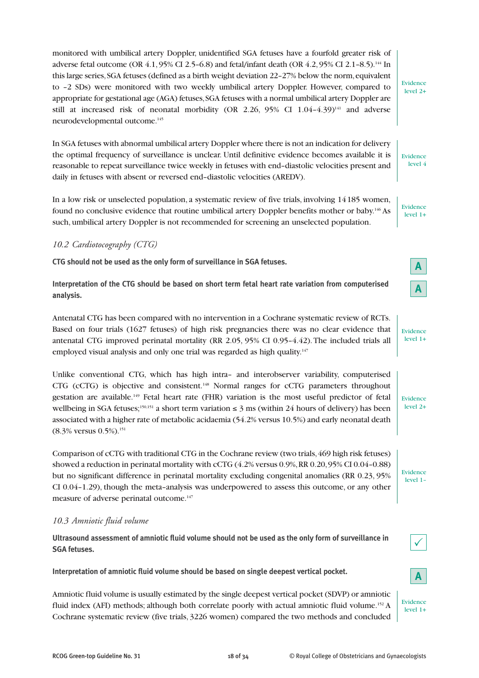monitored with umbilical artery Doppler, unidentified SGA fetuses have a fourfold greater risk of adverse fetal outcome (OR 4.1, 95% CI 2.5–6.8) and fetal/infant death (OR 4.2, 95% CI 2.1–8.5).144 In this large series, SGA fetuses (defined as a birth weight deviation 22–27% below the norm, equivalent to –2 SDs) were monitored with two weekly umbilical artery Doppler. However, compared to appropriate for gestational age (AGA) fetuses, SGA fetuses with a normal umbilical artery Doppler are still at increased risk of neonatal morbidity (OR 2.26,  $95\%$  CI 1.04-4.39)<sup>141</sup> and adverse neurodevelopmental outcome.145

In SGA fetuses with abnormal umbilical artery Doppler where there is not an indication for delivery the optimal frequency of surveillance is unclear. Until definitive evidence becomes available it is reasonable to repeat surveillance twice weekly in fetuses with end–diastolic velocities present and daily in fetuses with absent or reversed end–diastolic velocities (AREDV).

In a low risk or unselected population, a systematic review of five trials, involving 14 185 women, found no conclusive evidence that routine umbilical artery Doppler benefits mother or baby.146 As such, umbilical artery Doppler is not recommended for screening an unselected population.

# *10.2 Cardiotocography (CTG)*

**CTG should not be used as the only form of surveillance in SGA fetuses.**

**Interpretation of the CTG should be based on short term fetal heart rate variation from computerised analysis.**

Antenatal CTG has been compared with no intervention in a Cochrane systematic review of RCTs. Based on four trials (1627 fetuses) of high risk pregnancies there was no clear evidence that antenatal CTG improved perinatal mortality (RR 2.05, 95% CI 0.95–4.42). The included trials all employed visual analysis and only one trial was regarded as high quality.<sup>147</sup>

Unlike conventional CTG, which has high intra– and interobserver variability, computerised CTG (cCTG) is objective and consistent.148 Normal ranges for cCTG parameters throughout gestation are available.149 Fetal heart rate (FHR) variation is the most useful predictor of fetal wellbeing in SGA fetuses;<sup>150,151</sup> a short term variation  $\leq$  3 ms (within 24 hours of delivery) has been associated with a higher rate of metabolic acidaemia (54.2% versus 10.5%) and early neonatal death (8.3% versus 0.5%).151

Comparison of cCTG with traditional CTG in the Cochrane review (two trials, 469 high risk fetuses) showed a reduction in perinatal mortality with cCTG (4.2% versus 0.9%, RR 0.20, 95% CI 0.04–0.88) but no significant difference in perinatal mortality excluding congenital anomalies (RR 0.23, 95% CI 0.04–1.29), though the meta–analysis was underpowered to assess this outcome, or any other measure of adverse perinatal outcome.<sup>147</sup>

#### *10.3 Amniotic fluid volume*

**Ultrasound assessment of amniotic fluid volume should not be used as the only form of surveillance in SGA fetuses.**

**Interpretation of amniotic fluid volume should be based on single deepest vertical pocket.**

Amniotic fluid volume is usually estimated by the single deepest vertical pocket (SDVP) or amniotic fluid index (AFI) methods; although both correlate poorly with actual amniotic fluid volume.152 A Cochrane systematic review (five trials, 3226 women) compared the two methods and concluded

Evidence level 1+

Evidence level 4

Evidence level 2+

> **A A**

Evidence level 1+

Evidence level 2+

Evidence level 1–

 $\checkmark$ 



Evidence level 1+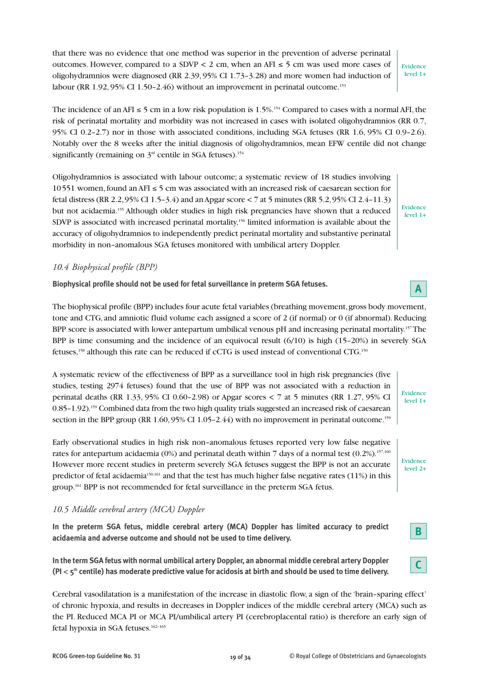that there was no evidence that one method was superior in the prevention of adverse perinatal outcomes. However, compared to a SDVP < 2 cm, when an AFI  $\leq$  5 cm was used more cases of oligohydramnios were diagnosed (RR 2.39, 95% CI 1.73–3.28) and more women had induction of labour (RR  $1.92, 95\%$  CI  $1.50 - 2.46$ ) without an improvement in perinatal outcome.<sup>153</sup>

The incidence of an AFI  $\leq 5$  cm in a low risk population is 1.5%.<sup>154</sup> Compared to cases with a normal AFI, the risk of perinatal mortality and morbidity was not increased in cases with isolated oligohydramnios (RR 0.7, 95% CI 0.2–2.7) nor in those with associated conditions, including SGA fetuses (RR 1.6, 95% CI 0.9–2.6). Notably over the 8 weeks after the initial diagnosis of oligohydramnios, mean EFW centile did not change significantly (remaining on  $3<sup>rd</sup>$  centile in SGA fetuses).<sup>154</sup>

Oligohydramnios is associated with labour outcome; a systematic review of 18 studies involving 10 551 women, found an AFI ≤ 5 cm was associated with an increased risk of caesarean section for fetal distress (RR 2.2, 95% CI 1.5–3.4) and an Apgar score < 7 at 5 minutes (RR 5.2, 95% CI 2.4–11.3) but not acidaemia.155 Although older studies in high risk pregnancies have shown that a reduced SDVP is associated with increased perinatal mortality,<sup>156</sup> limited information is available about the accuracy of oligohydramnios to independently predict perinatal mortality and substantive perinatal morbidity in non–anomalous SGA fetuses monitored with umbilical artery Doppler.

# *10.4 Biophysical profile (BPP)*

**Biophysical profile should not be used for fetal surveillance in preterm SGA fetuses.**

The biophysical profile (BPP) includes four acute fetal variables (breathing movement, gross body movement, tone and CTG, and amniotic fluid volume each assigned a score of 2 (if normal) or 0 (if abnormal). Reducing BPP score is associated with lower antepartum umbilical venous pH and increasing perinatal mortality.157The BPP is time consuming and the incidence of an equivocal result (6/10) is high (15–20%) in severely SGA fetuses,158 although this rate can be reduced if cCTG is used instead of conventional CTG.150

A systematic review of the effectiveness of BPP as a surveillance tool in high risk pregnancies (five studies, testing 2974 fetuses) found that the use of BPP was not associated with a reduction in perinatal deaths (RR 1.33, 95% CI 0.60–2.98) or Apgar scores < 7 at 5 minutes (RR 1.27, 95% CI 0.85–1.92).159 Combined data from the two high quality trials suggested an increased risk of caesarean section in the BPP group (RR 1.60, 95% CI 1.05–2.44) with no improvement in perinatal outcome.<sup>159</sup>

Early observational studies in high risk non–anomalous fetuses reported very low false negative rates for antepartum acidaemia (0%) and perinatal death within 7 days of a normal test (0.2%).<sup>157,160</sup> However more recent studies in preterm severely SGA fetuses suggest the BPP is not an accurate predictor of fetal acidaemia<sup>150,161</sup> and that the test has much higher false negative rates (11%) in this group.<sup>161</sup> BPP is not recommended for fetal surveillance in the preterm SGA fetus.

# *10.5 Middle cerebral artery (MCA) Doppler*

**In the preterm SGA fetus, middle cerebral artery (MCA) Doppler has limited accuracy to predict acidaemia and adverse outcome and should not be used to time delivery.**

**In the term SGA fetus with normal umbilical artery Doppler, an abnormal middle cerebral artery Doppler (PI** < **5th centile) has moderate predictive value for acidosis at birth and should be used to time delivery.**

Cerebral vasodilatation is a manifestation of the increase in diastolic flow, a sign of the 'brain–sparing effect' of chronic hypoxia, and results in decreases in Doppler indices of the middle cerebral artery (MCA) such as the PI. Reduced MCA PI or MCA PI/umbilical artery PI (cerebroplacental ratio) is therefore an early sign of fetal hypoxia in SGA fetuses.<sup>162-165</sup>

Evidence level 1+

Evidence level 1+

Evidence level 2+

Evidence level 1+



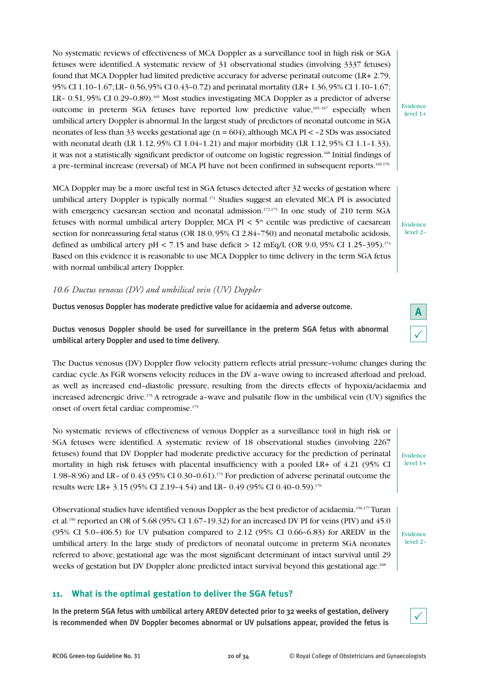No systematic reviews of effectiveness of MCA Doppler as a surveillance tool in high risk or SGA fetuses were identified. A systematic review of 31 observational studies (involving 3337 fetuses) found that MCA Doppler had limited predictive accuracy for adverse perinatal outcome (LR+ 2.79, 95% CI 1.10–1.67; LR– 0.56, 95% CI 0.43–0.72) and perinatal mortality (LR+ 1.36, 95% CI 1.10–1.67; LR– 0.51, 95% CI 0.29–0.89).<sup>165</sup> Most studies investigating MCA Doppler as a predictor of adverse outcome in preterm SGA fetuses have reported low predictive value,  $165-167$  especially when umbilical artery Doppler is abnormal. In the largest study of predictors of neonatal outcome in SGA neonates of less than 33 weeks gestational age (n = 604), although MCA PI < –2 SDs was associated with neonatal death (LR 1.12, 95% CI 1.04–1.21) and major morbidity (LR 1.12, 95% CI 1.1–1.33), it was not a statistically significant predictor of outcome on logistic regression.<sup>168</sup> Initial findings of a pre–terminal increase (reversal) of MCA PI have not been confirmed in subsequent reports.169,170

MCA Doppler may be a more useful test in SGA fetuses detected after 32 weeks of gestation where umbilical artery Doppler is typically normal.<sup>171</sup> Studies suggest an elevated MCA PI is associated with emergency caesarean section and neonatal admission.<sup>172,173</sup> In one study of 210 term SGA fetuses with normal umbilical artery Doppler, MCA PI  $\lt$  5<sup>th</sup> centile was predictive of caesarean section for nonreassuring fetal status (OR 18.0, 95% CI 2.84–750) and neonatal metabolic acidosis, defined as umbilical artery pH < 7.15 and base deficit > 12 mEq/L (OR 9.0, 95% CI 1.25-395).<sup>174</sup> Based on this evidence it is reasonable to use MCA Doppler to time delivery in the term SGA fetus with normal umbilical artery Doppler.

# *10.6 Ductus venosus (DV) and umbilical vein (UV) Doppler*

**Ductus venosus Doppler has moderate predictive value for acidaemia and adverse outcome.**

**Ductus venosus Doppler should be used for surveillance in the preterm SGA fetus with abnormal umbilical artery Doppler and used to time delivery.**

The Ductus venosus (DV) Doppler flow velocity pattern reflects atrial pressure–volume changes during the cardiac cycle. As FGR worsens velocity reduces in the DV a–wave owing to increased afterload and preload, as well as increased end–diastolic pressure, resulting from the directs effects of hypoxia/acidaemia and increased adrenergic drive.175 A retrograde a–wave and pulsatile flow in the umbilical vein (UV) signifies the onset of overt fetal cardiac compromise.<sup>175</sup>

No systematic reviews of effectiveness of venous Doppler as a surveillance tool in high risk or SGA fetuses were identified. A systematic review of 18 observational studies (involving 2267 fetuses) found that DV Doppler had moderate predictive accuracy for the prediction of perinatal mortality in high risk fetuses with placental insufficiency with a pooled LR+ of 4.21 (95% CI 1.98–8.96) and LR– of 0.43 (95% CI 0.30–0.61).175 For prediction of adverse perinatal outcome the results were LR+ 3.15 (95% CI 2.19–4.54) and LR– 0.49 (95% CI 0.40–0.59).176

Observational studies have identified venous Doppler as the best predictor of acidaemia.<sup>150,177</sup>Turan et al.<sup>150</sup> reported an OR of 5.68 (95% CI 1.67-19.32) for an increased DV PI for veins (PIV) and 45.0 (95% CI 5.0–406.5) for UV pulsation compared to 2.12 (95% CI 0.66–6.83) for AREDV in the umbilical artery. In the large study of predictors of neonatal outcome in preterm SGA neonates referred to above, gestational age was the most significant determinant of intact survival until 29 weeks of gestation but DV Doppler alone predicted intact survival beyond this gestational age.<sup>168</sup>

# **11. What is the optimal gestation to deliver the SGA fetus?**

**In the preterm SGA fetus with umbilical artery AREDV detected prior to 32 weeks of gestation, delivery is recommended when DV Doppler becomes abnormal or UV pulsations appear, provided the fetus is** Evidence level 2–

Evidence level 1+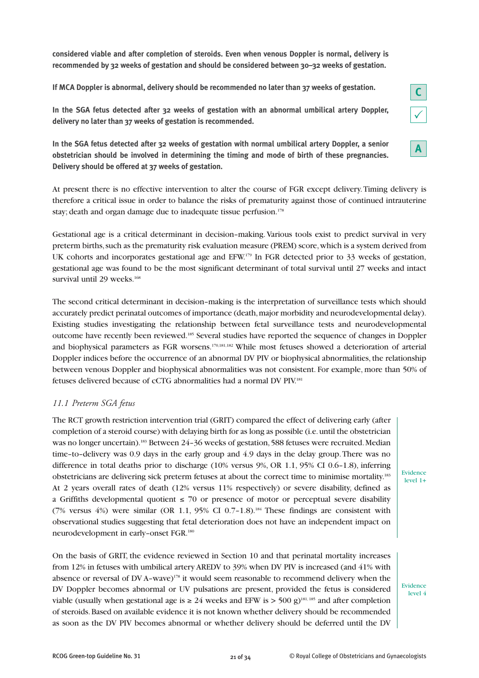**considered viable and after completion of steroids. Even when venous Doppler is normal, delivery is recommended by 32 weeks of gestation and should be considered between 30–32 weeks of gestation.**

**If MCA Doppler is abnormal, delivery should be recommended no later than 37 weeks of gestation.**



**In the SGA fetus detected after 32 weeks of gestation with normal umbilical artery Doppler, a senior obstetrician should be involved in determining the timing and mode of birth of these pregnancies. Delivery should be offered at 37 weeks of gestation.**

At present there is no effective intervention to alter the course of FGR except delivery. Timing delivery is therefore a critical issue in order to balance the risks of prematurity against those of continued intrauterine stay; death and organ damage due to inadequate tissue perfusion.<sup>178</sup>

Gestational age is a critical determinant in decision–making. Various tools exist to predict survival in very preterm births, such as the prematurity risk evaluation measure (PREM) score, which is a system derived from UK cohorts and incorporates gestational age and EFW.<sup>179</sup> In FGR detected prior to 33 weeks of gestation, gestational age was found to be the most significant determinant of total survival until 27 weeks and intact survival until 29 weeks.<sup>168</sup>

The second critical determinant in decision–making is the interpretation of surveillance tests which should accurately predict perinatal outcomes of importance (death, major morbidity and neurodevelopmental delay). Existing studies investigating the relationship between fetal surveillance tests and neurodevelopmental outcome have recently been reviewed.185 Several studies have reported the sequence of changes in Doppler and biophysical parameters as FGR worsens.<sup>170,181,182</sup> While most fetuses showed a deterioration of arterial Doppler indices before the occurrence of an abnormal DV PIV or biophysical abnormalities, the relationship between venous Doppler and biophysical abnormalities was not consistent. For example, more than 50% of fetuses delivered because of cCTG abnormalities had a normal DV PIV.181

#### *11.1 Preterm SGA fetus*

The RCT growth restriction intervention trial (GRIT) compared the effect of delivering early (after completion of a steroid course) with delaying birth for as long as possible (i.e. until the obstetrician was no longer uncertain).<sup>183</sup> Between 24-36 weeks of gestation, 588 fetuses were recruited. Median time–to–delivery was 0.9 days in the early group and 4.9 days in the delay group. There was no difference in total deaths prior to discharge (10% versus 9%, OR 1.1, 95% CI 0.6–1.8), inferring obstetricians are delivering sick preterm fetuses at about the correct time to minimise mortality.183 At 2 years overall rates of death (12% versus 11% respectively) or severe disability, defined as a Griffiths developmental quotient  $\leq 70$  or presence of motor or perceptual severe disability (7% versus  $4\%$ ) were similar (OR 1.1, 95% CI 0.7-1.8).<sup>184</sup> These findings are consistent with observational studies suggesting that fetal deterioration does not have an independent impact on neurodevelopment in early–onset FGR.180

Evidence level 1+

**C**

**A**

On the basis of GRIT, the evidence reviewed in Section 10 and that perinatal mortality increases from 12% in fetuses with umbilical artery AREDV to 39% when DV PIV is increased (and 41% with absence or reversal of DV A–wave)178 it would seem reasonable to recommend delivery when the DV Doppler becomes abnormal or UV pulsations are present, provided the fetus is considered viable (usually when gestational age is  $\geq 24$  weeks and EFW is > 500 g)<sup>181,185</sup> and after completion of steroids. Based on available evidence it is not known whether delivery should be recommended as soon as the DV PIV becomes abnormal or whether delivery should be deferred until the DV

Evidence level 4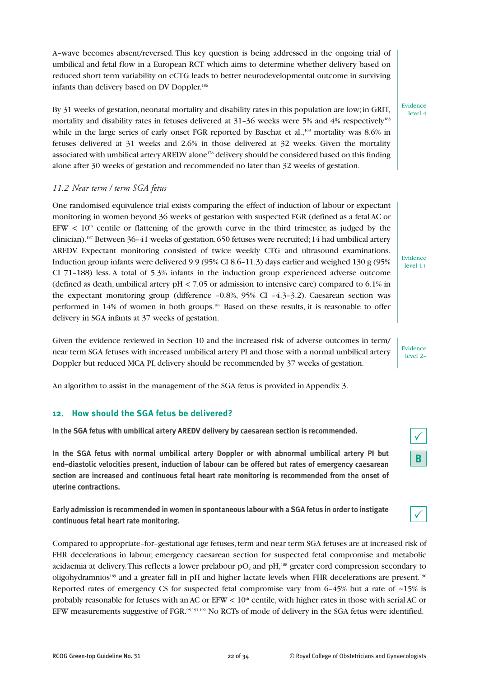A–wave becomes absent/reversed. This key question is being addressed in the ongoing trial of umbilical and fetal flow in a European RCT which aims to determine whether delivery based on reduced short term variability on cCTG leads to better neurodevelopmental outcome in surviving infants than delivery based on DV Doppler.186

# By 31 weeks of gestation, neonatal mortality and disability rates in this population are low; in GRIT, mortality and disability rates in fetuses delivered at 31-36 weeks were 5% and 4% respectively<sup>183</sup> while in the large series of early onset FGR reported by Baschat et al.,<sup>168</sup> mortality was 8.6% in fetuses delivered at 31 weeks and 2.6% in those delivered at 32 weeks. Given the mortality associated with umbilical artery AREDV alone<sup>178</sup> delivery should be considered based on this finding alone after 30 weeks of gestation and recommended no later than 32 weeks of gestation.

#### *11.2 Near term / term SGA fetus*

One randomised equivalence trial exists comparing the effect of induction of labour or expectant monitoring in women beyond 36 weeks of gestation with suspected FGR (defined as a fetal AC or EFW  $\leq 10<sup>th</sup>$  centile or flattening of the growth curve in the third trimester, as judged by the clinician).187 Between 36–41 weeks of gestation, 650 fetuses were recruited; 14 had umbilical artery AREDV. Expectant monitoring consisted of twice weekly CTG and ultrasound examinations. Induction group infants were delivered 9.9 (95% CI 8.6–11.3) days earlier and weighed 130 g (95% CI 71–188) less. A total of 5.3% infants in the induction group experienced adverse outcome (defined as death, umbilical artery pH < 7.05 or admission to intensive care) compared to 6.1% in the expectant monitoring group (difference  $-0.8\%$ , 95% CI  $-4.3-3.2$ ). Caesarean section was performed in 14% of women in both groups.187 Based on these results, it is reasonable to offer delivery in SGA infants at 37 weeks of gestation.

Given the evidence reviewed in Section 10 and the increased risk of adverse outcomes in term/ near term SGA fetuses with increased umbilical artery PI and those with a normal umbilical artery Doppler but reduced MCA PI, delivery should be recommended by 37 weeks of gestation.

An algorithm to assist in the management of the SGA fetus is provided in Appendix 3.

#### **12. How should the SGA fetus be delivered?**

**In the SGA fetus with umbilical artery AREDV delivery by caesarean section is recommended.**

**In the SGA fetus with normal umbilical artery Doppler or with abnormal umbilical artery PI but end–diastolic velocities present, induction of labour can be offered but rates of emergency caesarean section are increased and continuous fetal heart rate monitoring is recommended from the onset of uterine contractions.**

**Early admission is recommended in women in spontaneous labour with a SGA fetus in order to instigate continuous fetal heart rate monitoring.**

Compared to appropriate–for–gestational age fetuses, term and near term SGA fetuses are at increased risk of FHR decelerations in labour, emergency caesarean section for suspected fetal compromise and metabolic acidaemia at delivery. This reflects a lower prelabour  $pO<sub>2</sub>$  and  $pH<sub>1</sub>$ <sup>188</sup> greater cord compression secondary to oligohydramnios<sup>189</sup> and a greater fall in pH and higher lactate levels when FHR decelerations are present.<sup>190</sup> Reported rates of emergency CS for suspected fetal compromise vary from  $6-45\%$  but a rate of  $\sim$ 15% is probably reasonable for fetuses with an AC or  $EFW < 10<sup>th</sup>$  centile, with higher rates in those with serial AC or EFW measurements suggestive of FGR.<sup>98,191,192</sup> No RCTs of mode of delivery in the SGA fetus were identified.

Evidence level 4

Evidence level 1+

Evidence level 2–

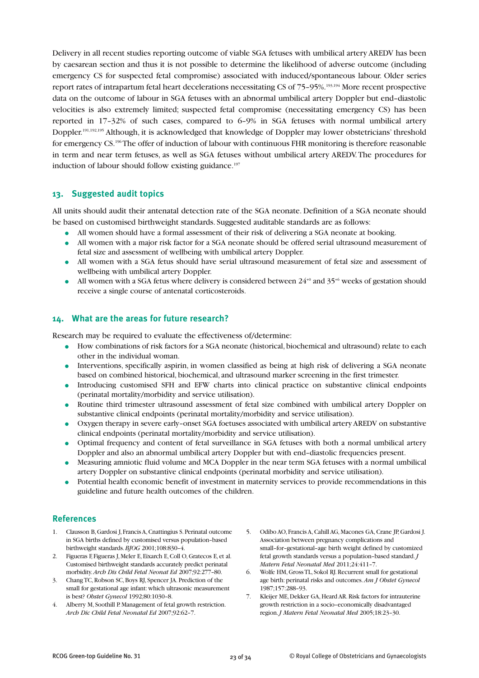Delivery in all recent studies reporting outcome of viable SGA fetuses with umbilical artery AREDV has been by caesarean section and thus it is not possible to determine the likelihood of adverse outcome (including emergency CS for suspected fetal compromise) associated with induced/spontaneous labour. Older series report rates of intrapartum fetal heart decelerations necessitating CS of 75–95%.193,194 More recent prospective data on the outcome of labour in SGA fetuses with an abnormal umbilical artery Doppler but end–diastolic velocities is also extremely limited; suspected fetal compromise (necessitating emergency CS) has been reported in 17–32% of such cases, compared to 6–9% in SGA fetuses with normal umbilical artery Doppler.191,192,195 Although, it is acknowledged that knowledge of Doppler may lower obstetricians' threshold for emergency CS.<sup>196</sup>The offer of induction of labour with continuous FHR monitoring is therefore reasonable in term and near term fetuses, as well as SGA fetuses without umbilical artery AREDV. The procedures for induction of labour should follow existing guidance.<sup>197</sup>

# **13. Suggested audit topics**

All units should audit their antenatal detection rate of the SGA neonate. Definition of a SGA neonate should be based on customised birthweight standards. Suggested auditable standards are as follows:

- All women should have a formal assessment of their risk of delivering a SGA neonate at booking.
- All women with a major risk factor for a SGA neonate should be offered serial ultrasound measurement of fetal size and assessment of wellbeing with umbilical artery Doppler.
- All women with a SGA fetus should have serial ultrasound measurement of fetal size and assessment of wellbeing with umbilical artery Doppler.
- All women with a SGA fetus where delivery is considered between  $24^{+0}$  and  $35^{+6}$  weeks of gestation should receive a single course of antenatal corticosteroids.

# **14. What are the areas for future research?**

Research may be required to evaluate the effectiveness of/determine:

- How combinations of risk factors for a SGA neonate (historical, biochemical and ultrasound) relate to each other in the individual woman.
- Interventions, specifically aspirin, in women classified as being at high risk of delivering a SGA neonate based on combined historical, biochemical, and ultrasound marker screening in the first trimester.
- Introducing customised SFH and EFW charts into clinical practice on substantive clinical endpoints (perinatal mortality/morbidity and service utilisation).
- Routine third trimester ultrasound assessment of fetal size combined with umbilical artery Doppler on substantive clinical endpoints (perinatal mortality/morbidity and service utilisation).
- Oxygen therapy in severe early–onset SGA foetuses associated with umbilical artery AREDV on substantive clinical endpoints (perinatal mortality/morbidity and service utilisation).
- Optimal frequency and content of fetal surveillance in SGA fetuses with both a normal umbilical artery Doppler and also an abnormal umbilical artery Doppler but with end–diastolic frequencies present.
- Measuring amniotic fluid volume and MCA Doppler in the near term SGA fetuses with a normal umbilical artery Doppler on substantive clinical endpoints (perinatal morbidity and service utilisation).
- Potential health economic benefit of investment in maternity services to provide recommendations in this guideline and future health outcomes of the children.

#### **References**

- 1. Clausson B, Gardosi J, Francis A, Cnattingius S. Perinatal outcome in SGA births defined by customised versus population–based birthweight standards. *BJOG* 2001;108:830–4.
- 2. Figueras F, Figueras J, Meler E, Eixarch E, Coll O, Gratecos E, et al. Customised birthweight standards accurately predict perinatal morbidity. *Arch Dis Child Fetal Neonat Ed* 2007;92:277–80.
- 3. Chang TC, Robson SC, Boys RJ, Spencer JA. Prediction of the small for gestational age infant: which ultrasonic measurement is best? *Obstet Gynecol* 1992;80:1030–8.
- 4. Alberry M, Soothill P. Management of fetal growth restriction. *Arch Dic Child Fetal Neonatal Ed* 2007;92:62–7.
- 5. Odibo AO, Francis A, Cahill AG, Macones GA, Crane JP, Gardosi J. Association between pregnancy complications and small–for–gestational–age birth weight defined by customized fetal growth standards versus a population–based standard. *J Matern Fetal Neonatal Med* 2011;24:411–7.
- 6. Wolfe HM, Gross TL, Sokol RJ. Recurrent small for gestational age birth: perinatal risks and outcomes. *Am J Obstet Gynecol* 1987;157:288–93.
- 7. Kleijer ME, Dekker GA, Heard AR. Risk factors for intrauterine growth restriction in a socio–economically disadvantaged region. *J Matern Fetal Neonatal Med* 2005;18:23–30.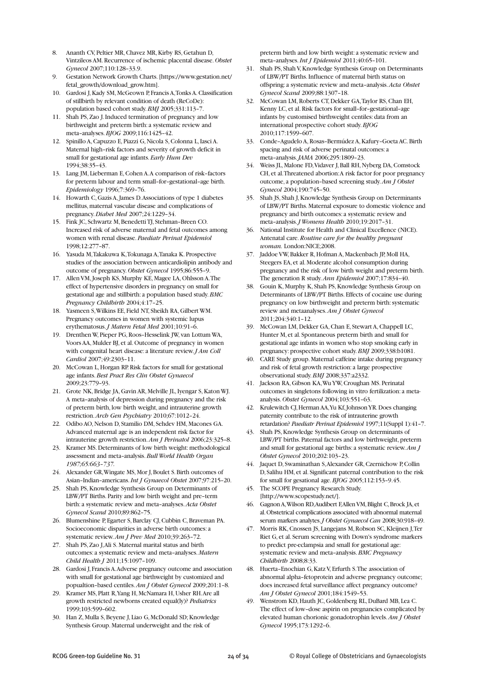- 8. Ananth CV, Peltier MR, Chavez MR, Kirby RS, Getahun D, Vintzileos AM. Recurrence of ischemic placental disease. *Obstet Gynecol* 2007;110:128–33.9.
- 9. Gestation Network Growth Charts. [https://www.gestation.net/ fetal\_growth/download\_grow.htm].
- 10. Gardosi J, Kady SM, McGeown P, Francis A, Tonks A. Classification of stillbirth by relevant condition of death (ReCoDe): population based cohort study. *BMJ* 2005;331:113–7.
- 11. Shah PS, Zao J. Induced termination of pregnancy and low birthweight and preterm birth: a systematic review and meta–analyses. *BJOG* 2009;116:1425–42.
- 12. Spinillo A, Capuzzo E, Piazzi G, Nicola S, Colonna L, Iasci A. Maternal high–risk factors and severity of growth deficit in small for gestational age infants. *Early Hum Dev* 1994;38:35–43.
- 13. Lang JM, Lieberman E, Cohen A. A comparison of risk–factors for preterm labour and term small–for–gestational–age birth. *Epidemiology* 1996;7:369–76.
- 14. Howarth C, Gazis A, James D. Associations of type 1 diabetes mellitus, maternal vascular disease and complications of pregnancy. *Diabet Med* 2007;24:1229–34.
- 15. Fink JC, Schwartz M, Benedetti TJ, Stehman–Breen CO. Increased risk of adverse maternal and fetal outcomes among women with renal disease. *Paediatr Perinat Epidemiol* 1998;12:277–87.
- 16. Yasuda M, Takakuwa K, Tokunaga A, Tanaka K. Prospective studies of the association between anticardiolipin antibody and outcome of pregnancy. *Obstet Gynecol* 1995;86:555–9.
- 17. Allen VM, Joseph KS, Murphy KE, Magee LA, Ohlsson A. The effect of hypertensive disorders in pregnancy on small for gestational age and stillbirth: a population based study. *BMC Pregnancy Childbirth* 2004;4:17–25.
- 18. Yasmeen S, Wilkins EE, Field NT, Sheikh RA, Gilbert WM. Pregnancy outcomes in women with systemic lupus erythematosus. *J Matern Fetal Med* 2001;10:91–6.
- 19. Drenthen W, Pieper PG, Roos–Hesselink JW, van Lottum WA, Voors AA, Mulder BJ, et al. Outcome of pregnancy in women with congenital heart disease: a literature review. *J Am Coll Cardiol* 2007;49:2303–11.
- 20. McCowan L, Horgan RP. Risk factors for small for gestational age infants. *Best Pract Res Clin Obstet Gynaecol* 2009;23:779–93.
- 21. Grote NK, Bridge JA, Gavin AR, Melville JL, Iyengar S, Katon WJ. A meta–analysis of depression during pregnancy and the risk of preterm birth, low birth weight, and intrauterine growth restriction. *Arch Gen Psychiatry* 2010;67:1012–24.
- 22. Odibo AO, Nelson D, Stamilio DM, Sehdev HM, Macones GA. Advanced maternal age is an independent risk factor for intrauterine growth restriction. *Am J Perinatol* 2006;23:325–8.
- 23. Kramer MS. Determinants of low birth weight: methodological assessment and meta–analysis. *Bull World Health Organ 1987;65:663–737.*
- 24. Alexander GR, Wingate MS, Mor J, Boulet S. Birth outcomes of Asian–Indian–americans. *Int J Gynaecol Obstet* 2007;97:215–20.
- 25. Shah PS, Knowledge Synthesis Group on Determinants of LBW/PT Births. Parity and low birth weight and pre–term birth: a systematic review and meta–analyses. *Acta Obstet Gynecol Scand* 2010;89:862–75.
- 26. Blumenshine P, Egarter S, Barclay CJ, Cubbin C, Braveman PA. Socioeconomic disparities in adverse birth outcomes: a systematic review. *Am J Prev Med* 2010;39:263–72.
- 27. Shah PS, Zao J, Ali S. Maternal marital status and birth outcomes: a systematic review and meta–analyses. *Matern Child Health J* 2011;15:1097–109.
- 28. Gardosi J, Francis A. Adverse pregnancy outcome and association with small for gestational age birthweight by customized and popualtion–based centiles. *Am J Obstet Gynecol* 2009;201:1–8.
- 29. Kramer MS, Platt R, Yang H, McNamara H, Usher RH. Are all growth restricted newborns created equal(ly)? *Pediatrics* 1999;103:599–602.
- 30. Han Z, Mulla S, Beyene J, Liao G, McDonald SD; Knowledge Synthesis Group. Maternal underweight and the risk of

preterm birth and low birth weight: a systematic review and meta–analyses. *Int J Epidemiol* 2011;40:65–101.

- 31. Shah PS, Shah V, Knowledge Synthesis Group on Determinants of LBW/PT Births. Influence of maternal birth status on offspring: a systematic review and meta–analysis. *Acta Obstet Gynecol Scand* 2009;88:1307–18.
- 32. McCowan LM, Roberts CT, Dekker GA, Taylor RS, Chan EH, Kenny LC, et al. Risk factors for small–for–gestational–age infants by customised birthweight centiles: data from an international prospective cohort study. *BJOG* 2010;117:1599–607.
- 33. Conde–Agudelo A, Rosas–Bermúdez A, Kafury–Goeta AC. Birth spacing and risk of adverse perinatal outcomes: a meta–analysis. *JAMA* 2006;295:1809–23.
- 34. Weiss JL, Malone FD, Vidaver J, Ball RH, Nyberg DA, Comstock CH, et al. Threatened abortion: A risk factor for poor pregnancy outcome, a population–based screening study. *Am J Obstet Gynecol* 2004;190:745–50.
- 35. Shah JS, Shah J, Knowledge Synthesis Group on Determinants of LBW/PT Births. Maternal exposure to domestic violence and pregnancy and birth outcomes: a systematic review and meta–analysis. *J Womens Health* 2010;19:2017–31.
- 36. National Institute for Health and Clinical Excellence (NICE). Antenatal care. *Routine care for the healthy pregnant woman.* London:NICE;2008.
- 37. Jaddoe VW, Bakker R, Hofman A, Mackenbach JP, Moll HA, Steegers EA, et al. Moderate alcohol consumption during pregnancy and the risk of low birth weight and preterm birth. The generation R study. *Ann Epidemiol* 2007;17:834–40.
- 38. Gouin K, Murphy K, Shah PS, Knowledge Synthesis Group on Determinants of LBW/PT Births. Effects of cocaine use during pregnancy on low birthweight and preterm birth: systematic review and metaanalyses. *Am J Obstet Gynecol* 2011;204:340:1–12.
- 39. McCowan LM, Dekker GA, Chan E, Stewart A, Chappell LC, Hunter M, et al. Spontaneous preterm birth and small for gestational age infants in women who stop smoking early in pregnancy: prospective cohort study. *BMJ* 2009;338:b1081.
- 40. CARE Study group. Maternal caffeine intake during pregnancy and risk of fetal growth restriction: a large prospective observational study. *BMJ* 2008;337:a2332.
- 41. Jackson RA, Gibson KA, Wu YW, Croughan MS. Perinatal outcomes in singletons following in vitro fertilization: a metaanalysis. *Obstet Gynecol* 2004;103:551–63.
- 42. Krulewitch CJ, Herman AA, Yu Kf, Johnson YR. Does changing paternity contribute to the risk of intrauterine growth retardation? *Paediatr Perinat Epidemiol* 1997;11(Suppl 1):41–7.
- 43. Shah PS, Knowledge Synthesis Group on determinants of LBW/PT births. Paternal factors and low birthweight, preterm and small for gestational age births: a systematic review. *Am J Obstet Gynecol* 2010;202:103–23.
- 44. Jaquet D, Swaminathan S, Alexander GR, Czernichow P, Collin D, Salihu HM, et al. Significant paternal contribution to the risk for small for gesational age. *BJOG* 2005;112:153–9.45.
- 45. The SCOPE Pregnancy Research Study. [http://www.scopestudy.net/].
- 46. Gagnon A, Wilson RD, Audibert F, Allen VM, Blight C, Brock JA, et al. Obstetrical complications associated with abnormal maternal serum markers analytes. *J Obstet Gynaecol Can* 2008;30:918–49.
- 47. Morris RK, Cnossen JS, Langejans M, Robson SC, Kleijnen J, Ter Riet G, et al. Serum screening with Down's syndrome markers to predict pre-eclampsia and small for gestational age: systematic review and meta–analysis. *BMC Pregnancy Childbirth* 2008;8:33.
- 48. Huerta–Enochian G, Katz V, Erfurth S. The association of abnormal alpha–fetoprotein and adverse pregnancy outcome; does increased fetal surveillance affect pregnancy outcome? *Am J Obstet Gynecol* 2001;184:1549–53.
- 49. Wenstrom KD, Hauth JC, Goldenberg RL, DuBard MB, Lea C. The effect of low–dose aspirin on pregnancies complicated by elevated human chorionic gonadotrophin levels. *Am J Obstet Gynecol* 1995;173:1292–6.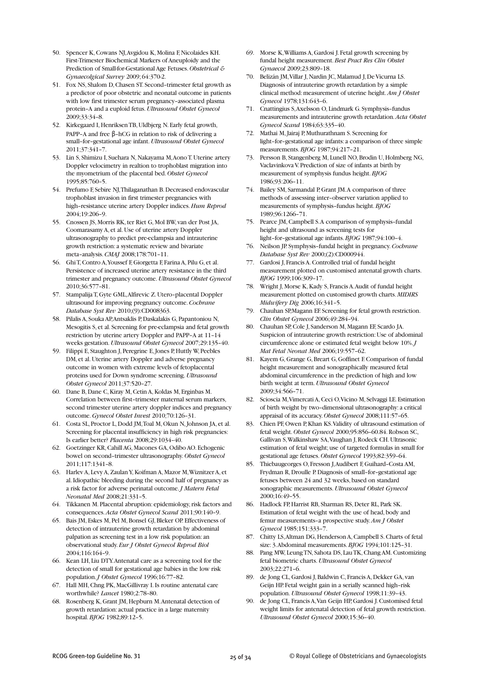- 50. Spencer K, Cowans NJ, Avgidou K, Molina F, Nicolaides KH. First-Trimester Biochemical Markers of Aneuploidy and the Prediction of Small-for-Gestational Age Fetuses. *Obstetrical & Gynaecolgical Survey* 2009; 64:370-2.
- 51. Fox NS, Shalom D, Chasen ST. Second–trimester fetal growth as a predictor of poor obstetric and neonatal outcome in patients with low first trimester serum pregnancy–associated plasma protein–A and a euploid fetus. *Ultrasound Obstet Gynecol* 2009;33:34–8.
- 52. Kirkegaard I, Henriksen TB, Uldbjerg N. Early fetal growth, PAPP–A and free β–hCG in relation to risk of delivering a small–for–gestational age infant. *Ultrasound Obstet Gynecol* 2011;37:341–7.
- 53. Lin S, Shimizu I, Suehara N, Nakayama M, Aono T. Uterine artery Doppler velocimetry in realtion to trophoblast migration into the myometrium of the placental bed. *Obstet Gynecol* 1995;85:760–5.
- 54. Prefumo F, Sebire NJ, Thilaganathan B. Decreased endovascular trophoblast invasion in first trimester pregnancies with high–resistance uterine artery Doppler indices. *Hum Reprod* 2004;19:206–9.
- 55. Cnossen JS, Morris RK, ter Riet G, Mol BW, van der Post JA, Coomarasamy A, et al. Use of uterine artery Doppler ultrasonography to predict pre-eclampsia and intrauterine growth restriction: a systematic review and bivariate meta–analysis. *CMAJ* 2008;178:701–11.
- 56. Ghi T, Contro A, Youssef F, Giorgetta F, Farina A, Pilu G, et al. Persistence of increased uterine artery resistance in the third trimester and pregnancy outcome. *Ultrasound Obstet Gynecol* 2010;36:577–81.
- 57. Stampalija T, Gyte GML, Alfirevic Z. Utero–placental Doppler ultrasound for improving pregnancy outcome. *Cochrane Database Syst Rev* 2010;(9):CD008363.
- 58. Pilalis A, Souka AP, Antsaklis P, Daskalakis G, Papantoniou N, Mesogitis S, et al. Screening for pre-eclampsia and fetal growth restriction by uterine artery Doppler and PAPP–A at 11–14 weeks gestation. *Ultrasound Obstet Gynecol* 2007;29:135–40.
- 59. Filippi E, Staughton J, Peregrine E, Jones P, Huttly W, Peebles DM, et al. Uterine artery Doppler and adverse pregnancy outcome in women with extreme levels of fetoplacental proteins used for Down syndrome screening. *Ultrasound Obstet Gynecol* 2011;37:520–27.
- 60. Dane B, Dane C, Kiray M, Cetin A, Koldas M, Erginbas M. Correlation between first–trimester maternal serum markers, second trimester uterine artery doppler indices and pregnancy outcome. *Gynecol Obstet Invest* 2010;70:126–31.
- 61. Costa SL, Proctor L, Dodd JM, Toal M, Okun N, Johnson JA, et al. Screening for placental insufficiency in high risk pregnancies: Is earlier better? *Placenta* 2008;29:1034–40.
- 62. Goetzinger KR, Cahill AG, Macones GA, Odibo AO. Echogenic bowel on second–trimester ultrasonography. *Obstet Gynecol* 2011;117:1341–8.
- 63. Harlev A, Levy A, Zaulan Y, Koifman A, Mazor M, Wiznitzer A, et al. Idiopathic bleeding during the second half of pregnancy as a risk factor for adverse perinatal outcome. *J Matern Fetal Neonatal Med* 2008;21:331–5.
- 64. Tikkanen M. Placental abruption: epidemiology, risk factors and consequences. *Acta Obstet Gynecol Scand* 2011;90:140–9.
- 65. Bais JM, Eskes M, Pel M, Bonsel GJ, Bleker OP. Effectiveness of detection of intrauterine growth retardation by abdominal palpation as screening test in a low risk population: an observational study. *Eur J Obstet Gynecol Reprod Biol* 2004;116:164–9.
- 66. Kean LH, Liu DTY. Antenatal care as a screening tool for the detection of small for gestational age babies in the low risk population. *J Obstet Gynecol* 1996;16:77–82.
- 67. Hall MH, Chng PK, MacGillivray I. Is routine antenatal care worthwhile? *Lancet* 1980;2:78–80.
- 68. Rosenberg K, Grant JM, Hepburn M. Antenatal detection of growth retardation: actual practice in a large maternity hospital. *BJOG* 1982;89:12–5.
- 69. Morse K, Williams A, Gardosi J. Fetal growth screening by fundal height measurement. *Best Pract Res Clin Obstet Gynaecol* 2009;23:809–18.
- 70. Belizán JM, Villar J, Nardin JC, Malamud J, De Vicurna LS. Diagnosis of intrauterine growth retardation by a simple clinical method: measurement of uterine height. *Am J Obstet Gynecol* 1978;131:643–6.
- 71. Cnattingius S, Axelsson O, Lindmark G. Symphysis–fundus measurements and intrauterine growth retardation. *Acta Obstet Gynecol Scand* 1984;63:335–40.
- 72. Mathai M, Jairaj P, Muthurathnam S. Screening for light–for–gestational age infants: a comparison of three simple measurements. *BJOG* 1987;94:217–21.
- 73. Persson B, Stangenberg M, Lunell NO, Brodin U, Holmberg NG, Vaclavinkova V. Prediction of size of infants at birth by measurement of symphysis fundus height. *BJOG* 1986;93:206–11.
- 74. Bailey SM, Sarmandal P, Grant JM. A comparison of three methods of assessing inter–observer variation applied to measurements of symphysis–fundus height. *BJOG* 1989;96:1266–71.
- 75. Pearce JM, Campbell S. A comparison of symphysis–fundal height and ultrasound as screening tests for light–for–gestational age infants. *BJOG* 1987;94:100–4.
- 76. Neilson JP. Symphysis–fundal height in pregnancy. *Cochrane Database Syst Rev* 2000;(2):CD000944.
- 77. Gardosi J, Francis A. Controlled trial of fundal height measurement plotted on customised antenatal growth charts. *BJOG* 1999;106:309–17.
- 78. Wright J, Morse K, Kady S, Francis A. Audit of fundal height measurement plotted on customised growth charts. *MIDIRS Midwifery Dig* 2006;16:341–5.
- 79. Chauhan SP,Magann EF. Screening for fetal growth restriction. *Clin Obstet Gynecol* 2006;49:284–94.
- 80. Chauhan SP, Cole J, Sanderson M, Magann EF, Scardo JA. Suspicion of intrauterine growth restriction: Use of abdominal circumference alone or estimated fetal weight below 10%. *J Mat Fetal Neonat Med* 2006;19:557–62.
- 81. Kayem G, Grange G, Breart G, Goffinet F. Comparison of fundal height measurement and sonographically measured fetal abdominal circumference in the prediction of high and low birth weight at term. *Ultrasound Obstet Gynecol* 2009;34:566–71.
- 82. Scioscia M, Vimercati A, Ceci O, Vicino M, Selvaggi LE. Estimation of birth weight by two–dimensional ultrasonography: a critical appraisal of its accuracy. *Obstet Gynecol* 2008;111:57–65.
- 83. Chien PF, Owen P, Khan KS. Validity of ultrasound estimation of fetal weight. *Obstet Gynecol* 2000;95:856–60.84. Robson SC, Gallivan S, Walkinshaw SA, Vaughan J, Rodeck CH. Ultrasonic estimation of fetal weight; use of targeted formulas in small for gestational age fetuses. *Obstet Gynecol* 1993;82:359–64.
- 85. Thiebaugeorges O, Fresson J, Audibert F, Guihard–Costa AM, Frydman R, Droulle P. Diagnosis of small–for–gestational age fetuses between 24 and 32 weeks, based on standard sonographic measurements. *Ultrasound Obstet Gynecol* 2000;16:49–55.
- 86. Hadlock FP, Harrist RB, Sharman RS, Deter RL, Park SK. Estimation of fetal weight with the use of head, body and femur measurements–a prospective study. *Am J Obstet Gynecol* 1985;151:333–7.
- 87. Chitty LS, Altman DG, Henderson A, Campbell S. Charts of fetal size: 3. Abdominal measurements. *BJOG* 1994;101:125–31.
- 88. Pang MW, Leung TN, Sahota DS, Lau TK, Chang AM. Customizing fetal biometric charts. *Ultrasound Obstet Gynecol* 2003;22:271–6.
- 89. de Jong CL, Gardosi J, Baldwin C, Francis A, Dekker GA, van Geijn HP. Fetal weight gain in a serially scanned high–risk population. *Ultrasound Obstet Gynecol* 1998;11:39–43.
- 90. de Jong CL, Francis A, Van Geijn HP, Gardosi J. Customised fetal weight limits for antenatal detection of fetal growth restriction. *Ultrasound Obstet Gynecol* 2000;15:36–40.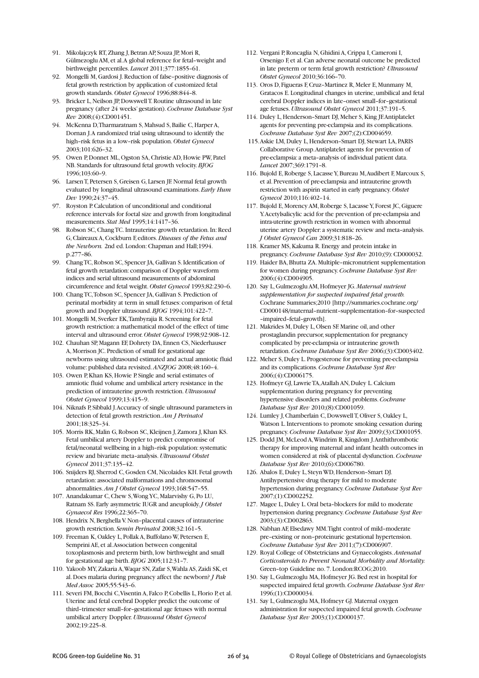- 91. Mikolaiczyk RT, Zhang J, Betran AP, Souza JP, Mori R, Gülmezoglu AM, et al. A global reference for fetal–weight and birthweight percentiles. *Lancet* 2011;377:1855–61.
- 92. Mongelli M, Gardosi J. Reduction of false–positive diagnosis of fetal growth restriction by application of customized fetal growth standards. *Obstet Gynecol* 1996;88:844–8.
- 93. Bricker L, Neilson JP, Dowswell T. Routine ultrasound in late pregnancy (after 24 weeks' gestation). *Cochrane Database Syst Rev* 2008;(4):CD001451.
- 94. McKenna D, Tharmaratnam S, Mahsud S, Bailie C, Harper A, Dornan J. A randomized trial using ultrasound to identify the high–risk fetus in a low–risk population. *Obstet Gynecol* 2003;101:626–32.
- 95. Owen P, Donnet ML, Ogston SA, Christie AD, Howie PW, Patel NB. Standards for ultrasound fetal growth velocity. *BJOG* 1996;103:60–9.
- 96. Larsen T, Petersen S, Greisen G, Larsen JF. Normal fetal growth evaluated by longitudinal ultrasound examinations. *Early Hum Dev* 1990;24:37–45.
- 97. Royston P. Calculation of unconditional and conditional reference intervals for foetal size and growth from longitudinal measurements. *Stat Med* 1995;14:1417–36.
- 98. Robson SC, Chang TC. Intrauterine growth retardation. In: Reed G, Claireaux A, Cockburn F, editors. *Diseases of the Fetus and the Newborn.* 2nd ed. London: Chapman and Hall;1994. p.277–86.
- 99. Chang TC, Robson SC, Spencer JA, Gallivan S. Identification of fetal growth retardation: comparison of Doppler waveform indices and serial ultrasound measurements of abdominal circumference and fetal weight. *Obstet Gynecol* 1993;82:230–6.
- 100. Chang TC, Tobson SC, Spencer JA, Gallivan S. Prediction of perinatal morbidity at term in small fetuses: comparison of fetal growth and Doppler ultrasound. *BJOG* 1994;101:422–7.
- 101. Mongelli M, Sverker EK, Tambyrajia R. Screening for fetal growth restriction: a mathematical model of the effect of time interval and ultrasound error. *Obstet Gynecol* 1998;92:908–12.
- 102. Chauhan SP, Magann EF, Dohrety DA, Ennen CS, Niederhauser A, Morrison JC. Prediction of small for gestational age newborns using ultrasound estimated and actual amniotic fluid volume: published data revisited. *ANZJOG* 2008;48:160–4.
- 103. Owen P, Khan KS, Howie P. Single and serial estimates of amniotic fluid volume and umbilical artery resistance in the prediction of intrauterine growth restriction. *Ultrasound Obstet Gynecol* 1999;13:415–9.
- 104. Niknafs P, Sibbald J. Accuracy of single ultrasound parameters in detection of fetal growth restriction. *Am J Perinatol* 2001;18:325–34.
- 105. Morris RK, Malin G, Robson SC, Kleijnen J, Zamora J, Khan KS. Fetal umbilical artery Doppler to predict compromise of fetal/neonatal wellbeing in a high–risk population: systematic review and bivariate meta–analysis. *Ultrasound Obstet Gynecol* 2011;37:135–42.
- 106. Snijders RJ, Sherrod C, Gosden CM, Nicolaides KH. Fetal growth retardation: associated malformations and chromosomal abnormalities. *Am J Obstet Gynecol* 1993;168:547–55.
- 107. Anandakumar C, Chew S, Wong YC, Malarvishy G, Po LU, Ratnam SS. Early asymmetric IUGR and aneuploidy. *J Obstet Gynaecol Res* 1996;22:365–70.
- 108. Hendrix N, Berghella V. Non–placental causes of intrauterine growth restriction. *Semin Perinatol* 2008;32:161–5.
- 109. Freeman K, Oakley L, Pollak A, Buffolano W, Petersen E, Semprini AE, et al. Association between congenital toxoplasmosis and preterm birth, low birthweight and small for gestational age birth. *BJOG* 2005;112:31–7.
- 110. Yakoob MY, Zakaria A, Waqar SN, Zafar S, Wahla AS, Zaidi SK, et al. Does malaria during pregnancy affect the newborn? *J Pak Med Assoc* 2005;55:543–6.
- 111. Severi FM, Bocchi C, Visentin A, Falco P, Cobellis L, Florio P, et al. Uterine and fetal cerebral Doppler predict the outcome of third–trimester small–for–gestational age fetuses with normal umbilical artery Doppler. *Ultrasound Obstet Gynecol* 2002;19:225–8.
- 112. Vergani P, Roncaglia N, Ghidini A, Crippa I, Cameroni I, Orsenigo F, et al. Can adverse neonatal outcome be predicted in late preterm or term fetal growth restriction? *Ultrasound Obstet Gynecol* 2010;36:166–70.
- 113. Oros D, Figueras F, Cruz–Martinez R, Meler E, Munmany M, Gratacos E. Longitudinal changes in uterine, umbilical and fetal cerebral Doppler indices in late–onset small–for–gestational age fetuses. *Ultrasound Obstet Gynecol* 2011;37:191–5.
- 114. Duley L, Henderson–Smart DJ, Meher S, King JF. Antiplatelet agents for preventing pre-eclampsia and its complications. *Cochrane Database Syst Rev* 2007;(2):CD004659.
- 115.Askie LM, Duley L, Henderson–Smart DJ, Stewart LA, PARIS Collaborative Group. Antiplatelet agents for prevention of pre-eclampsia: a meta–analysis of individual patient data. *Lancet* 2007;369:1791–8.
- 116. Bujold E, Roberge S, Lacasse Y, Bureau M, Audibert F, Marcoux S, et al. Prevention of pre-eclampsia and intrauterine growth restriction with aspirin started in early pregnancy. *Obstet Gynecol* 2010;116:402–14.
- 117. Bujold E, Morency AM, Roberge S, Lacasse Y, Forest JC, Giguere Y. Acetylsalicylic acid for the prevention of pre-eclampsia and intra-uterine growth restriction in women with abnormal uterine artery Doppler: a systematic review and meta–analysis. *J Obstet Gynecol Can* 2009;31:818–26.
- 118. Kramer MS, Kakuma R. Energy and protein intake in pregnancy. *Cochrane Database Syst Rev* 2010;(9): CD000032.
- 119. Haider BA, Bhutta ZA. Multiple–micronutrient supplementation for women during pregnancy. *Cochrane Database Syst Rev* 2006;(4):CD004905.
- 120. Say L, Gulmezoglu AM, Hofmeyer JG. *Maternal nutrient supplementation for suspected impaired fetal growth.* Cochrane Summaries;2010 [http://summaries.cochrane.org/ CD000148/maternal–nutrient–supplementation–for–suspected –impaired–fetal–growth].
- 121. Makrides M, Duley L, Olsen SF. Marine oil, and other prostaglandin precursor, supplementation for pregnancy complicated by pre-eclampsia or intrauterine growth retardation. *Cochrane Database Syst Rev* 2006;(3):CD003402.
- 122. Meher S, Duley L. Progesterone for preventing pre-eclampsia and its complications. *Cochrane Database Syst Rev* 2006;(4):CD006175.
- 123. Hofmeyr GJ, Lawrie TA, Atallah AN, Duley L. Calcium supplementation during pregnancy for preventing hypertensive disorders and related problems. *Cochrane Database Syst Rev* 2010;(8):CD001059.
- 124. Lumley J, Chamberlain C, Dowswell T, Oliver S, Oakley L, Watson L. Interventions to promote smoking cessation during pregnancy. *Cochrane Database Syst Rev* 2009;(3):CD001055.
- 125. Dodd JM, McLeod A, Windrim R, Kingdom J. Anthithrombotic therapy for improving maternal and infant health outcomes in women considered at risk of placental dysfunction. *Cochrane Database Syst Rev* 2010;(6):CD006780.
- 126. Abalos E, Duley L, Steyn WD, Henderson–Smart DJ. Antihypertensive drug therapy for mild to moderate hypertension during pregnancy. *Cochrane Database Syst Rev* 2007;(1):CD002252.
- 127. Magee L, Duley L. Oral beta–blockers for mild to moderate hypertension during pregnancy. *Cochrane Database Syst Rev* 2003;(3):CD002863.
- 128. Nabhan AF, Elsedawy MM. Tight control of mild–moderate pre–existing or non–proteinuric gestational hypertension. *Cochrane Database Syst Rev* 2011;(7):CD006907.
- 129. Royal College of Obstetricians and Gynaecologists. *Antenatal Corticosteroids to Prevent Neonatal Morbidity and Mortality.* Green–top Guideline no. 7. London:RCOG;2010.
- 130. Say L, Gulmezoglu MA, Hofmeyer JG. Bed rest in hospital for suspected impaired fetal growth. *Cochrane Database Syst Rev* 1996;(1):CD000034.
- 131. Say L, Gulmezoglu MA, Hofmeyr GJ. Maternal oxygen administration for suspected impaired fetal growth. *Cochrane Database Syst Rev* 2003;(1):CD000137.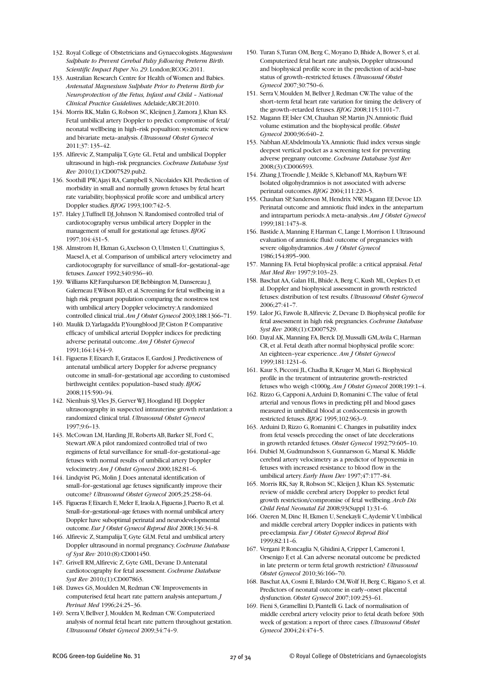- 132. Royal College of Obstetricians and Gynaecologists. *Magnesium Sulphate to Prevent Cerebal Palsy following Preterm Birth. Scientific Impact Paper No. 29*. London;RCOG:2011.
- 133. Australian Research Centre for Health of Women and Babies. *Antenatal Magnesium Sulphate Prior to Preterm Birth for Neuroprotection of the Fetus, Infant and Child – National Clinical Practice Guidelines.* Adelaide;ARCH:2010.
- 134. Morris RK, Malin G, Robson SC, Kleijnen J, Zamora J, Khan KS. Fetal umbilical artery Doppler to predict compromise of fetal/ neonatal wellbeing in high–risk popualtion: systematic review and bivariate meta–analysis. *Ultrasound Obstet Gynecol* 2011;37: 135–42.
- 135. Alfirevic Z, Stampalija T, Gyte GL. Fetal and umbilical Doppler ultrasound in high–risk pregnancies. *Cochrane Database Syst Rev* 2010;(1):CD007529.pub2.
- 136. Soothill PW, Ajayi RA, Campbell S, Nicolaides KH. Prediction of morbidity in small and normally grown fetuses by fetal heart rate variability, biophysical profile score and umbilical artery Doppler studies. *BJOG* 1993;100:742–5.
- 137. Haley J, Tuffnell DJ, Johnson N. Randomised controlled trial of cardiotocography versus umbilical artery Doppler in the management of small for gestational age fetuses. *BJOG* 1997;104:431–5.
- 138. Almstrom H, Ekman G, Axelsson O, Ulmsten U, Cnattingius S, Maesel A, et al. Comparison of umbilical artery velocimetry and cardiotocography for surveillance of small–for–gestational–age fetuses. *Lancet* 1992;340:936–40.
- 139. Williams KP, Farquharson DF, Bebbington M, Dansereau J, Galerneau F, Wilson RD, et al. Screening for fetal wellbeing in a high risk pregnant population comparing the nonstress test with umbilical artery Doppler velocimetry: A randomized controlled clinical trial. *Am J Obstet Gynecol* 2003;188:1366–71.
- 140. Maulik D, Yarlagadda P, Youngblood JP, Ciston P. Comparative efficacy of umbilical arterial Doppler indices for predicting adverse perinatal outcome. *Am J Obstet Gynecol* 1991;164:1434–9.
- 141. Figueras F, Eixarch E, Gratacos E, Gardosi J. Predictiveness of antenatal umbilical artery Doppler for adverse pregnancy outcome in small–for–gestational age according to customised birthweight centiles: population–based study. *BJOG* 2008;115:590–94.
- 142. Nienhuis SJ, Vles JS, Gerver WJ, Hoogland HJ. Doppler ultrasonography in suspected intrauterine growth retardation: a randomized clinical trial. *Ultrasound Obstet Gynecol* 1997;9:6–13.
- 143. McCowan LM, Harding JE, Roberts AB, Barker SE, Ford C, Stewart AW. A pilot randomized controlled trial of two regimens of fetal surveillance for small–for–gestational–age fetuses with normal results of umbilical artery Doppler velocimetry. *Am J Obstet Gynecol* 2000;182:81–6.
- 144. Lindqvist PG, Molin J. Does antenatal identification of small–for–gestational age fetuses significantly improve their outcome? *Ultrasound Obstet Gynecol* 2005;25:258–64.
- 145. Figueras F, Eixarch E, Meler E, Iraola A, Figueras J, Puerto B, et al. Small–for–gestational–age fetuses with normal umbilical artery Doppler have suboptimal perinatal and neurodevelopmental outcome. *Eur J Obstet Gynecol Reprod Biol* 2008;136:34–8.
- 146. Alfirevic Z, Stampalija T, Gyte GLM. Fetal and umbilical artery Doppler ultrasound in normal pregnancy. *Cochrane Database of Syst Rev* 2010:(8):CD001450.
- 147. Grivell RM, Alfirevic Z, Gyte GML, Devane D. Antenatal cardiotocography for fetal assessment. *Cochrane Database Syst Rev* 2010;(1):CD007863.
- 148. Dawes GS, Moulden M, Redman CW. Improvements in computerised fetal heart rate pattern analysis antepartum. *J Perinat Med* 1996;24:25–36.
- 149. Serra V, Bellver J, Moulden M, Redman CW. Computerized analysis of normal fetal heart rate pattern throughout gestation. *Ultrasound Obstet Gynecol* 2009;34:74–9.
- 150. Turan S, Turan OM, Berg C, Moyano D, Bhide A, Bower S, et al. Computerized fetal heart rate analysis, Doppler ultrasound and biophysical profile score in the prediction of acid–base status of growth–restricted fetuses. *Ultrasound Obstet Gynecol* 2007;30:750–6.
- 151. Serra V, Moulden M, Bellver J, Redman CW. The value of the short–term fetal heart rate variation for timing the delivery of the growth–retarded fetuses. *BJOG* 2008;115:1101–7.
- 152. Magann EF, Isler CM, Chauhan SP, Martin JN. Amniotic fluid volume estimation and the biophysical profile. *Obstet Gynecol* 2000;96:640–2.
- 153. Nabhan AF, Abdelmoula YA. Amniotic fluid index versus single deepest vertical pocket as a screening test for preventing adverse pregnany outcome. *Cochrane Database Syst Rev* 2008;(3):CD006593.
- 154. Zhang J, Troendle J, Meikle S, Klebanoff MA, Rayburn WF. Isolated oligohydramnios is not associated with adverse perinatal outcomes. *BJOG* 2004;111:220–5.
- 155. Chauhan SP, Sanderson M, Hendrix NW, Magann EF, Devoe LD. Perinatal outcome and amniotic fluid index in the antepartum and intrapartum periods: A meta–analysis. *Am J Obstet Gynecol* 1999;181:1473–8.
- 156. Bastide A, Manning F, Harman C, Lange I, Morrison I. Ultrasound evaluation of amniotic fluid: outcome of pregnancies with severe oligohydramnios. *Am J Obstet Gynecol* 1986;154:895–900.
- 157. Manning FA. Fetal biophysical profile: a critical appraisal. *Fetal Mat Med Rev* 1997;9:103–23.
- 158. Baschat AA, Galan HL, Bhide A, Berg C, Kush ML, Oepkes D, et al. Doppler and biophysical assessment in growth restricted fetuses: distribution of test results. *Ultrasound Obstet Gynecol* 2006;27:41–7.
- 159. Lalor JG, Fawole B, Alfirevic Z, Devane D. Biophysical profile for fetal assessment in high risk pregnancies. *Cochrane Database Syst Rev* 2008;(1):CD007529.
- 160. Dayal AK, Manning FA, Berck DJ, Mussalli GM, Avila C, Harman CR, et al. Fetal death after normal biophysical profile score: An eighteen–year experience. *Am J Obstet Gynecol* 1999;181:1231–6.
- 161. Kaur S, Picconi JL, Chadha R, Kruger M, Mari G. Biophysical profile in the treatment of intrauterine growth–restricted fetuses who weigh <1000g. *Am J Obstet Gynecol* 2008;199:1–4.
- 162. Rizzo G, Capponi A, Arduini D, Romanini C. The value of fetal arterial and venous flows in predicting pH and blood gases measured in umbilical blood at cordocentesis in growth restricted fetuses. *BJOG* 1995;102:963–9.
- 163. Arduini D, Rizzo G, Romanini C. Changes in pulsatility index from fetal vessels preceding the onset of late decelerations in growth retarded fetuses. *Obstet Gynecol* 1992;79:605–10.
- 164. Dubiel M, Gudmundsson S, Gunnarsson G, Marsal K. Middle cerebral artery velocimetry as a predictor of hypoxemia in fetuses with increased resistance to blood flow in the umbilical artery. *Early Hum Dev* 1997;47:177–84.
- 165. Morris RK, Say R, Robson SC, Kleijen J, Khan KS. Systematic review of middle cerebral artery Doppler to predict fetal growth restriction/compromise of fetal wellbeing. *Arch Dis Child Fetal Neonatal Ed* 2008;93(Suppl 1):31–6.
- 166. Ozeren M, Dinc H, Ekmen U, Senekayli C, Aydemir V. Umbilical and middle cerebral artery Doppler indices in patients with pre-eclampsia. *Eur J Obstet Gynecol Reprod Biol* 1999;82:11–6.
- 167. Vergani P, Roncaglia N, Ghidini A, Cripper I, Cameroni I, Orsenigo F, et al. Can adverse neonatal outcome be predicted in late preterm or term fetal growth restriction? *Ultrasound Obstet Gynecol* 2010;36:166–70.
- 168. Baschat AA, Cosmi E, Bilardo CM, Wolf H, Berg C, Rigano S, et al. Predictors of neonatal outcome in early–onset placental dysfunction. *Obstet Gynecol* 2007;109:253–61.
- 169. Fieni S, Gramellini D, Piantelli G. Lack of normalisation of middle cerebral artery velocity prior to fetal death before 30th week of gestation: a report of three cases. *Ultrasound Obstet Gynecol* 2004;24:474–5.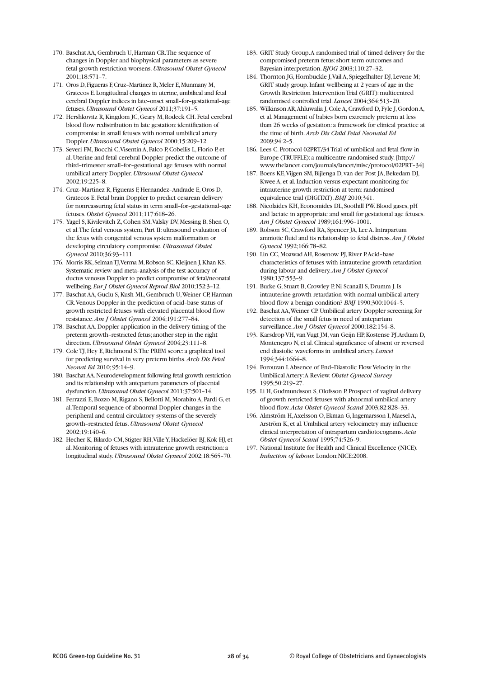- 170. Baschat AA, Gembruch U, Harman CR. The sequence of changes in Doppler and biophysical parameters as severe fetal growth restriction worsens. *Ultrasound Obstet Gynecol* 2001;18:571–7.
- 171. Oros D, Figueras F, Cruz–Martinez R, Meler E, Munmany M, Gratecos E. Longitudinal changes in uterine, umbilical and fetal cerebral Doppler indices in late–onset small–for–gestational–age fetuses. *Ultrasound Obstet Gynecol* 2011;37:191–5.
- 172. Hershkovitz R, Kingdom JC, Geary M, Rodeck CH. Fetal cerebral blood flow redistribution in late gestation: identification of compromise in small fetuses with normal umbilical artery Doppler. *Ultrasound Obstet Gynecol* 2000;15:209–12.
- 173. Severi FM, Bocchi C, Visentin A, Falco P, Cobellis L, Florio P, et al. Uterine and fetal cerebral Doppler predict the outcome of third–trimester small–for–gestational age fetuses with normal umbilical artery Doppler. *Ultrsound Obstet Gynecol* 2002;19:225–8.
- 174. Cruz–Martinez R, Figueras F, Hernandez–Andrade E, Oros D, Gratecos E. Fetal brain Doppler to predict cesarean delivery for nonreassuring fetal status in term small–for–gestational–age fetuses. *Obstet Gynecol* 2011;117:618–26.
- 175. Yagel S, Kivilevitch Z, Cohen SM, Valsky DV, Messing B, Shen O, et al. The fetal venous system, Part II: ultrasound evaluation of the fetus with congenital venous system malformation or developing circulatory compromise. *Ultrasound Obstet Gynecol* 2010;36:93–111.
- 176. Morris RK, Selman TJ, Verma M, Robson SC, Kleijnen J, Khan KS. Systematic review and meta–analysis of the test accuracy of ductus venosus Doppler to predict compromise of fetal/neonatal wellbeing. *Eur J Obstet Gynecol Reprod Biol* 2010;152:3–12.
- 177. Baschat AA, Guclu S, Kush ML, Gembruch U, Weiner CP, Harman CR. Venous Doppler in the prediction of acid–base status of growth restricted fetuses with elevated placental blood flow resistance. *Am J Obstet Gynecol* 2004;191:277–84.
- 178. Baschat AA. Doppler application in the delivery timing of the preterm growth–restricted fetus; another step in the right direction. *Ultrasound Obstet Gynecol* 2004;23:111–8.
- 179. Cole TJ, Hey E, Richmond S. The PREM score: a graphical tool for predicting survival in very preterm births. *Arch Dis Fetal Neonat Ed* 2010; 95:14–9.
- 180. Baschat AA. Neurodevelopment following fetal growth restriction and its relationship with antepartum parameters of placental dysfunction. *Ultrasound Obstet Gynecol* 2011;37:501–14.
- 181. Ferrazzi E, Bozzo M, Rigano S, Bellotti M, Morabito A, Pardi G, et al. Temporal sequence of abnormal Doppler changes in the peripheral and central circulatory systems of the severely growth–restricted fetus. *Ultrasound Obstet Gynecol* 2002;19:140–6.
- 182. Hecher K, Bilardo CM, Stigter RH, Ville Y, Hackelöer BJ, Kok HJ, et al. Monitoring of fetuses with intrauterine growth restriction: a longitudinal study. *Ultrasound Obstet Gynecol* 2002;18:565–70.
- 183. GRIT Study Group. A randomised trial of timed delivery for the compromised preterm fetus: short term outcomes and Bayesian interpretation. *BJOG* 2003;110:27–32.
- 184. Thornton JG, Hornbuckle J, Vail A, Spiegelhalter DJ, Levene M; GRIT study group. Infant wellbeing at 2 years of age in the Growth Restriction Intervention Trial (GRIT): multicentred randomised controlled trial. *Lancet* 2004;364:513–20.
- 185. Wilkinson AR, Ahluwalia J, Cole A, Crawford D, Fyle J, Gordon A, et al. Management of babies born extremely preterm at less than 26 weeks of gestation: a framework for clinical practice at the time of birth. *Arch Dis Child Fetal Neonatal Ed* 2009;94:2–5.
- 186. Lees C. Protocol 02PRT/34 Trial of umbilical and fetal flow in Europe (TRUFFLE): a multicentre randomised study. [http:// www.thelancet.com/journals/lancet/misc/protocol/02PRT–34].
- 187. Boers KE, Vijgen SM, Bijlenga D, van der Post JA, Bekedam DJ, Kwee A, et al. Induction versus expectant monitoring for intrauterine growth restriction at term: randomised equivalence trial (DIGITAT). *BMJ* 2010;341.
- 188. Nicolaides KH, Economides DL, Soothill PW. Blood gases, pH and lactate in appropriate and small for gestational age fetuses. *Am J Obstet Gynecol* 1989;161:996–1001.
- 189. Robson SC, Crawford RA, Spencer JA, Lee A. Intrapartum amniotic fluid and its relationship to fetal distress. *Am J Obstet Gynecol* 1992;166:78–82.
- 190. Lin CC, Moawad AH, Rosenow PJ, River P. Acid–base characteristics of fetuses with intrauterine growth retardation during labour and delivery. *Am J Obstet Gynecol* 1980;137:553–9.
- 191. Burke G, Stuart B, Crowley P, Ni Scanaill S, Drumm J. Is intrauterine growth retardation with normal umbilical artery blood flow a benign condition? *BMJ* 1990;300:1044–5.
- 192. Baschat AA, Weiner CP. Umbilical artery Doppler screening for detection of the small fetus in need of antepartum surveillance. *Am J Obstet Gynecol* 2000;182:154–8.
- 193. Karsdrop VH, van Vugt JM, van Geijn HP, Kostense PJ, Arduim D, Montenegro N, et al. Clinical significance of absent or reversed end diastolic waveforms in umbilical artery. *Lancet* 1994;344:1664–8.
- 194. Forouzan I. Absence of End–Diastolic Flow Velocity in the Umbilical Artery: A Review. *Obstet Gynecol Survey* 1995;50:219–27.
- 195. Li H, Gudmundsson S, Olofsson P. Prospect of vaginal delivery of growth restricted fetuses with abnormal umbilical artery blood flow. *Acta Obstet Gynecol Scand* 2003;82:828–33.
- 196. Almström H, Axelsson O, Ekman G, Ingemarsson I, Maesel A, Arström K, et al. Umbilical artery velocimetry may influence clinical interpretation of intrapartum cardiotocograms. *Acta Obstet Gynecol Scand* 1995;74:526–9.
- 197. National Institute for Health and Clinical Excellence (NICE). *Induction of labour.* London;NICE:2008.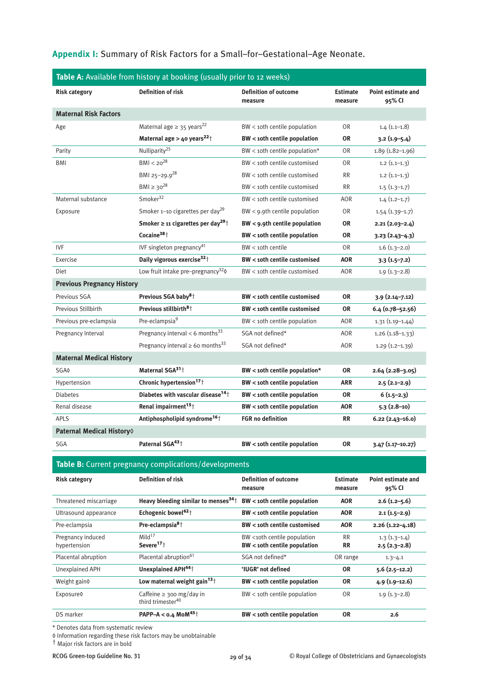# **Appendix I:** Summary of Risk Factors for a Small–for–Gestational–Age Neonate.

| Table A: Available from history at booking (usually prior to 12 weeks) |                                                                |                                                                    |                            |                                     |
|------------------------------------------------------------------------|----------------------------------------------------------------|--------------------------------------------------------------------|----------------------------|-------------------------------------|
| <b>Risk category</b>                                                   | <b>Definition of risk</b>                                      | <b>Definition of outcome</b><br>measure                            | <b>Estimate</b><br>measure | Point estimate and<br>95% CI        |
| <b>Maternal Risk Factors</b>                                           |                                                                |                                                                    |                            |                                     |
| Age                                                                    | Maternal age $\geq$ 35 years <sup>22</sup>                     | BW < 10th centile population                                       | <b>OR</b>                  | $1.4(1.1-1.8)$                      |
|                                                                        | Maternal age > 40 years <sup>22</sup> <sup>+</sup>             | <b>BW</b> < 10th centile population                                | <b>OR</b>                  | $3.2(1.9 - 5.4)$                    |
| Parity                                                                 | Nulliparity <sup>25</sup>                                      | BW < 10th centile population*                                      | <b>OR</b>                  | 1.89 (1.82-1.96)                    |
| <b>BMI</b>                                                             | $BMI < 20^{28}$                                                | BW < 10th centile customised                                       | <b>OR</b>                  | $1.2(1.1-1.3)$                      |
|                                                                        | BMI 25-29.928                                                  | BW < 10th centile customised                                       | <b>RR</b>                  | $1.2(1.1-1.3)$                      |
|                                                                        | $BMI ≥ 30^{28}$                                                | BW < 10th centile customised                                       | <b>RR</b>                  | $1.5(1.3-1.7)$                      |
| Maternal substance                                                     | Smoker <sup>32</sup>                                           | BW < 10th centile customised                                       | <b>AOR</b>                 | $1.4(1.2-1.7)$                      |
| Exposure                                                               | Smoker 1-10 cigarettes per day <sup>29</sup>                   | $BW < 9.9$ th centile population                                   | <b>OR</b>                  | $1.54(1.39-1.7)$                    |
|                                                                        | Smoker $\geq$ 11 cigarettes per day <sup>29</sup> <sup>†</sup> | BW < 9.9th centile population                                      | <b>OR</b>                  | $2.21(2.03 - 2.4)$                  |
|                                                                        | Cocaine <sup>38</sup> <sup>+</sup>                             | BW < 10th centile population                                       | <b>OR</b>                  | $3.23(2.43 - 4.3)$                  |
| <b>IVF</b>                                                             | IVF singleton pregnancy <sup>41</sup>                          | $BW 1$ centile                                                     | <b>OR</b>                  | $1.6(1.3-2.0)$                      |
| Exercise                                                               | Daily vigorous exercise <sup>32</sup> <sup>+</sup>             | <b>BW</b> < 10th centile customised                                | <b>AOR</b>                 | $3.3(1.5-7.2)$                      |
| Diet                                                                   | Low fruit intake pre-pregnancy <sup>32</sup> 0                 | BW < 10th centile customised                                       | <b>AOR</b>                 | $1.9(1.3-2.8)$                      |
| <b>Previous Pregnancy History</b>                                      |                                                                |                                                                    |                            |                                     |
| Previous SGA                                                           | Previous SGA baby <sup>8</sup> <sup>†</sup>                    | BW < 10th centile customised                                       | <b>OR</b>                  | $3.9(2.14 - 7.12)$                  |
| Previous Stillbirth                                                    | Previous stillbirth <sup>8</sup> <sup>†</sup>                  | <b>BW</b> < 10th centile customised                                | <b>OR</b>                  | $6.4(0.78 - 52.56)$                 |
| Previous pre-eclampsia                                                 | Pre-eclampsia <sup>9</sup>                                     | BW < 10th centile population                                       | <b>AOR</b>                 | $1.31(1.19-1.44)$                   |
| Pregnancy Interval                                                     | Pregnancy interval < 6 months $^{33}$                          | SGA not defined*                                                   | AOR                        | $1.26(1.18-1.33)$                   |
|                                                                        | Pregnancy interval $\geq 6$ o months <sup>33</sup>             | SGA not defined*                                                   | <b>AOR</b>                 | $1.29(1.2-1.39)$                    |
| <b>Maternal Medical History</b>                                        |                                                                |                                                                    |                            |                                     |
| <b>SGA0</b>                                                            | Maternal SGA <sup>31</sup> <sup>+</sup>                        | BW < 10th centile population*                                      | <b>OR</b>                  | $2.64(2.28-3.05)$                   |
| Hypertension                                                           | Chronic hypertension <sup>17</sup> <sup>+</sup>                | <b>BW</b> < 10th centile population                                | ARR                        | $2.5(2.1-2.9)$                      |
| <b>Diabetes</b>                                                        | Diabetes with vascular disease <sup>14</sup> <sup>+</sup>      | <b>BW</b> < 10th centile population                                | <b>OR</b>                  | $6(1.5-2.3)$                        |
| Renal disease                                                          | Renal impairment <sup>15+</sup>                                | <b>BW</b> < 10th centile population                                | AOR                        | $5.3(2.8-10)$                       |
| <b>APLS</b>                                                            | Antiphospholipid syndrome <sup>16</sup> <sup>†</sup>           | <b>FGR no definition</b>                                           | <b>RR</b>                  | $6.22$ (2.43-16.0)                  |
| Paternal Medical History <sup>()</sup>                                 |                                                                |                                                                    |                            |                                     |
| <b>SGA</b>                                                             | Paternal SGA <sup>43</sup> <sup>+</sup>                        | <b>BW</b> < 10th centile population                                | <b>OR</b>                  | 3.47 (1.17-10.27)                   |
| Table B: Current pregnancy complications/developments                  |                                                                |                                                                    |                            |                                     |
| <b>Risk category</b>                                                   | <b>Definition of risk</b>                                      | <b>Definition of outcome</b><br>measure                            | <b>Estimate</b><br>measure | <b>Point estimate and</b><br>95% CI |
| Threatened miscarriage                                                 | Heavy bleeding similar to menses <sup>34</sup> <sup>+</sup>    | <b>BW</b> < 10th centile population                                | <b>AOR</b>                 | $2.6$ (1.2–5.6)                     |
| Ultrasound appearance                                                  | Echogenic bowel <sup>62+</sup>                                 | <b>BW</b> < 10th centile population                                | <b>AOR</b>                 | $2.1(1.5-2.9)$                      |
| Pre-eclampsia                                                          | Pre-eclampsia $8+$                                             | <b>BW</b> < 10th centile customised                                | AOR                        | $2.26(1.22 - 4.18)$                 |
| Pregnancy induced<br>hypertension                                      | Mild <sup>17</sup><br>Severe <sup>17</sup> <sup>+</sup>        | BW <10th centile population<br><b>BW</b> < 10th centile population | RR<br><b>RR</b>            | $1.3(1.3-1.4)$<br>$2.5(2.3-2.8)$    |
| Placental abruption                                                    | Placental abruption <sup>61</sup>                              | SGA not defined*                                                   | OR range                   | $1.3 - 4.1$                         |
| Unexplained APH                                                        | Unexplained APH <sup>44+</sup>                                 | 'IUGR' not defined                                                 | <b>OR</b>                  | $5.6(2.5-12.2)$                     |
| Weight gain?                                                           | Low maternal weight gain <sup>13</sup> <sup>+</sup>            | <b>BW</b> < 10th centile population                                | <b>OR</b>                  | $4.9(1.9-12.6)$                     |
| Exposure0                                                              | Caffeine $\geq$ 300 mg/day in<br>third trimester <sup>40</sup> | BW < 10th centile population                                       | 0 <sub>R</sub>             | $1.9(1.3-2.8)$                      |
| DS marker                                                              | PAPP-A < $0.4$ MoM <sup>45</sup> <sup>+</sup>                  | <b>BW</b> < 10th centile population                                | <b>OR</b>                  | 2.6                                 |

\* Denotes data from systematic review

◊ Information regarding these risk factors may be unobtainable

† Major risk factors are in bold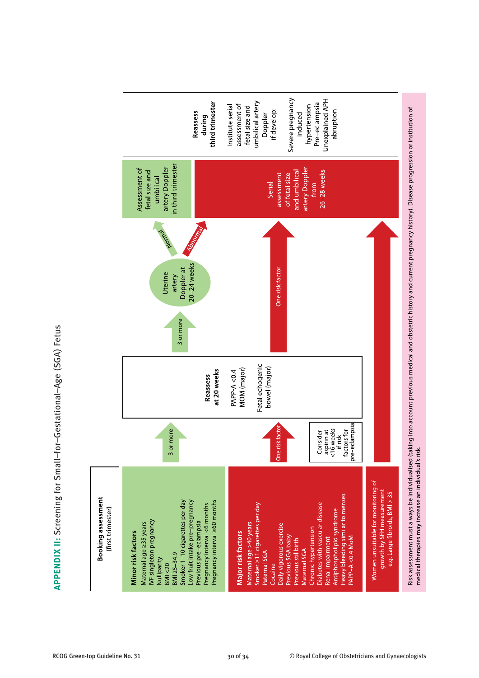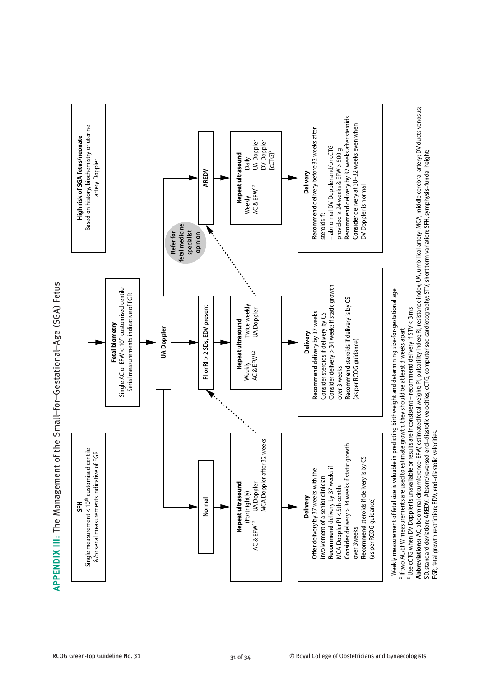

**APPENDIX III:** The Management of the Small–for–Gestational–Age (SGA) Fetus

FGR, fetal growth restriction; EDV, end–diastolic velocities.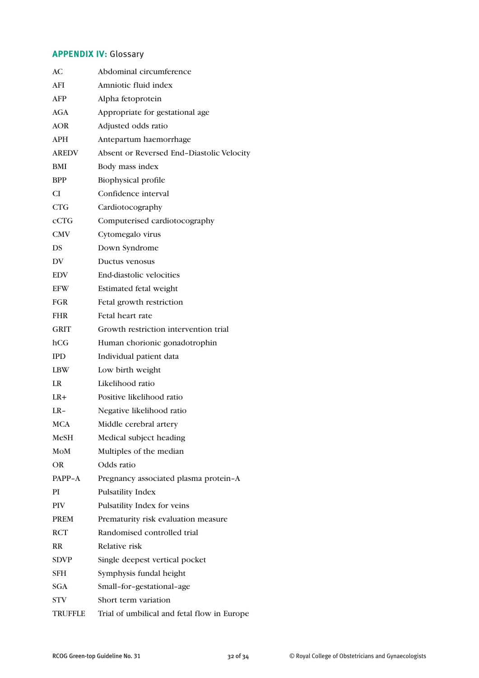# **APPENDIX IV:** Glossary

| АC             | Abdominal circumference                     |
|----------------|---------------------------------------------|
| AFI            | Amniotic fluid index                        |
| AFP            | Alpha fetoprotein                           |
| AGA            | Appropriate for gestational age             |
| <b>AOR</b>     | Adjusted odds ratio                         |
| <b>APH</b>     | Antepartum haemorrhage                      |
| <b>AREDV</b>   | Absent or Reversed End-Diastolic Velocity   |
| <b>BMI</b>     | Body mass index                             |
| <b>BPP</b>     | <b>Biophysical profile</b>                  |
| CI             | Confidence interval                         |
| <b>CTG</b>     | Cardiotocography                            |
| cCTG           | Computerised cardiotocography               |
| <b>CMV</b>     | Cytomegalo virus                            |
| DS             | Down Syndrome                               |
| DV             | Ductus venosus                              |
| <b>EDV</b>     | <b>End-diastolic velocities</b>             |
| <b>EFW</b>     | <b>Estimated fetal weight</b>               |
| <b>FGR</b>     | Fetal growth restriction                    |
| <b>FHR</b>     | Fetal heart rate                            |
| <b>GRIT</b>    | Growth restriction intervention trial       |
| hCG            | Human chorionic gonadotrophin               |
| <b>IPD</b>     | Individual patient data                     |
| <b>LBW</b>     | Low birth weight                            |
| LR             | Likelihood ratio                            |
| $LR+$          | Positive likelihood ratio                   |
| $LR-$          | Negative likelihood ratio                   |
| <b>MCA</b>     | Middle cerebral artery                      |
| <b>MeSH</b>    | Medical subject heading                     |
| MoM            | Multiples of the median                     |
| OR.            | Odds ratio                                  |
| PAPP-A         | Pregnancy associated plasma protein-A       |
| PI             | <b>Pulsatility Index</b>                    |
| <b>PIV</b>     | Pulsatility Index for veins                 |
| <b>PREM</b>    | Prematurity risk evaluation measure         |
| <b>RCT</b>     | Randomised controlled trial                 |
| <b>RR</b>      | Relative risk                               |
| <b>SDVP</b>    | Single deepest vertical pocket              |
| SFH            | Symphysis fundal height                     |
| <b>SGA</b>     | Small-for-gestational-age                   |
| STV            | Short term variation                        |
| <b>TRUFFLE</b> | Trial of umbilical and fetal flow in Europe |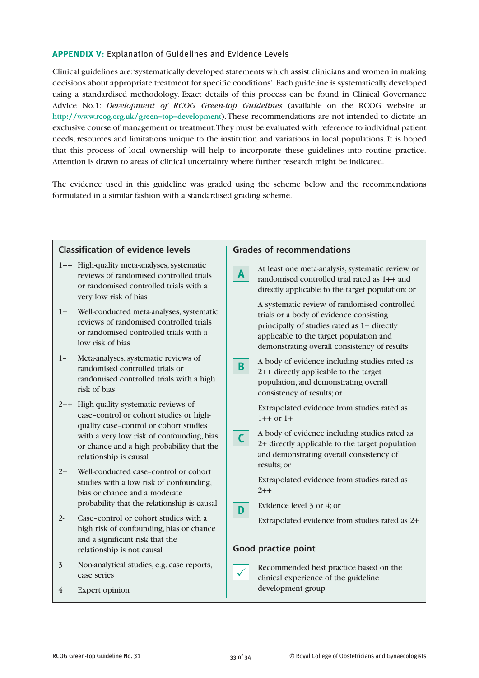# **APPENDIX V:** Explanation of Guidelines and Evidence Levels

Clinical guidelines are: 'systematically developed statements which assist clinicians and women in making decisions about appropriate treatment for specific conditions'. Each guideline is systematically developed using a standardised methodology. Exact details of this process can be found in Clinical Governance Advice No.1: *Development of RCOG Green-top Guidelines* (available on the RCOG website at **http://www.rcog.org.uk/green–top–development**). These recommendations are not intended to dictate an exclusive course of management or treatment. They must be evaluated with reference to individual patient needs, resources and limitations unique to the institution and variations in local populations. It is hoped that this process of local ownership will help to incorporate these guidelines into routine practice. Attention is drawn to areas of clinical uncertainty where further research might be indicated.

The evidence used in this guideline was graded using the scheme below and the recommendations formulated in a similar fashion with a standardised grading scheme.